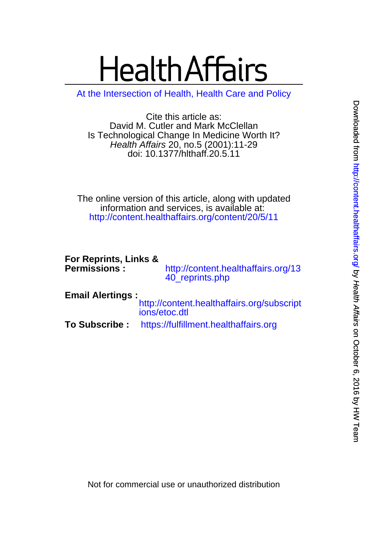# **Health Affairs**

[At the Intersection of Health, Health Care and Policy](http://www.healthaffairs.org)

doi: 10.1377/hlthaff.20.5.11 Health Affairs 20, no.5 (2001):11-29 Is Technological Change In Medicine Worth It? David M. Cutler and Mark McClellan Cite this article as:

<http://content.healthaffairs.org/content/20/5/11> information and services, is available at: The online version of this article, along with updated

| For Reprints, Links &<br><b>Permissions:</b> | http://content.healthaffairs.org/13<br>40_reprints.php      |
|----------------------------------------------|-------------------------------------------------------------|
| <b>Email Alertings:</b>                      | http://content.healthaffairs.org/subscript<br>ions/etoc.dtl |
| <b>To Subscribe :</b>                        | https://fulfillment.healthaffairs.org                       |

Not for commercial use or unauthorized distribution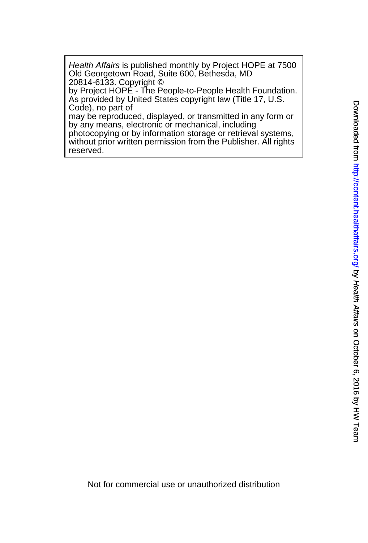20814-6133. Copyright © Old Georgetown Road, Suite 600, Bethesda, MD Health Affairs is published monthly by Project HOPE at 7500

Code), no part of As provided by United States copyright law (Title 17, U.S. by Project HOPE - The People-to-People Health Foundation.

by any means, electronic or mechanical, including may be reproduced, displayed, or transmitted in any form or

reserved. without prior written permission from the Publisher. All rights photocopying or by information storage or retrieval systems,

Not for commercial use or unauthorized distribution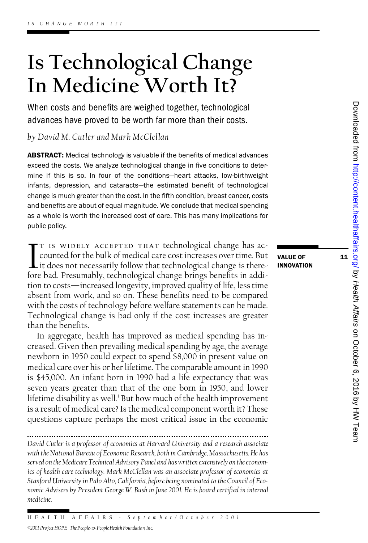# **Is Technological Change Is Technological Change<br>In Medicine Worth It?**<br>When costs and benefits are weighed together, technological In Medicine Worth It?

When costs and benefits are weighed together, technological *by David M. Cutler and Mark McClellan*

by David M. Cutler and Mark McClellan<br>**ABSTRACT:** Medical technology is valuable if the benefits of medical advances<br>award the casts. We analyze technological abouts in five conditions to detay. **ABSTRACT:** Medical technology is valuable if the benefits of medical advances<br>exceed the costs. We analyze technological change in five conditions to deterexceed the costs. We analyze technological change in five conditions to determine if this is so. In four of the conditions-heart attacks, low-birthweight infants, depression, and cataracts—the estimated benefit of technological<br>change is much greater than the cost. In the fifth condition, breast cancer, costs<br>and benefits are about of equal magnitude. We conclude that medic change is much greater than the cost. In the fifth condition, breast cancer, costs as a whole is worth the increased cost of care. This has many implications for public policy.

T IS WIDELY ACCEPTED THAT technological change has accounted for the bulk of medical care cost increases over time. But<br>it does not necessarily follow that technological change is there-<br>fore bad. Presumably, technological T IS WIDELY ACCEPTED THAT technological change has accounted for the bulk of medical care cost increases over time. But value of fore bad. Presumably, technological change brings benefits in addi- $\blacksquare$  it does not necessarily follow that technological change is there-<br>fore bad. Presumably, technological change brings benefits in addi-<br>tion to costs—increased longevity, improved quality of life, less time<br>absent f fore bad. Presumably, technological change brings benefits in addition to costs—increased longevity, improved quality of life, less time absent from work, and so on. These benefits need to be compared with the costs of tec tion to costs—increased longevity, improved quality of life, less time<br>absent from work, and so on. These benefits need to be compared<br>with the costs of technology before welfare statements can be made.<br>Technological chang absent from work, and so on. These benefits need to be compared<br>with the costs of technology before welfare statements can be made.<br>Technological change is bad only if the cost increases are greater<br>than the benefits. with the costs of te<br>Technological char<br>than the benefits.<br>In aggregate he than the benefits.<br>In aggregate, health has improved as medical spending has in-

than the benefits.<br>In aggregate, health has improved as medical spending has increased. Given then prevailing medical spending by age, the average<br>newborn in 1950 could expect to spend \$8,000 in present value on In aggregate, health has improved as medical spending has increased. Given then prevailing medical spending by age, the average<br>newborn in 1950 could expect to spend \$8,000 in present value on<br>medical care over his or her creased. Given then prevailing medical spending by age, the average<br>newborn in 1950 could expect to spend \$8,000 in present value on<br>medical care over his or her lifetime. The comparable amount in 1990<br>is \$45,000. An infan newborn in 1950 could expect to spend \$8,000 in present value on<br>medical care over his or her lifetime. The comparable amount in 1990<br>is \$45,000. An infant born in 1990 had a life expectancy that was<br>seven years greater th is \$45,000. An infant born in 1990 had a life expectancy that was seven years greater than that of the one born in 1950, and lower<br>lifetime disability as well.<sup>1</sup> But how much of the health improvement<br>is a result of medical care? Is the medical component worth it? These lifetime disability as well.<sup>1</sup> But how much of the health improvement questions capture perhaps the most critical issue in the economic

*David Cutler is a professor of economics at Harvard University and a research associate with the National Bureau of Economic Research, both in Cambridge, Massachusetts. He has* with the National Bureau of Economic Research, both in Cambridge, Massachusetts. He has<br>served on the Medicare Technical Advisory Panel and has written extensively on the econom*ics of health care technology. Mark McClellan was an associate professor of economics at* served on the Medicare Technical Advisory Panel and has written extensively on the econom-<br>ics of health care technology. Mark McClellan was an associate professor of economics at<br>Stanford University in Palo Alto, Californ ics of health care technology. Mark McClellan was an associate professor of economics at<br>Stanford University in Palo Alto, California, before being nominated to the Council of Eco-<br>nomic Advisers by President George W. Bus *medicine.*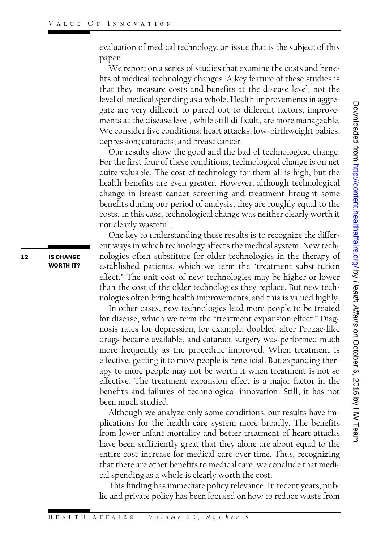evaluation of medical technology, an issue that is the subject of this paper.

We report on a series of studies that examine the costs and benepaper.<br>We report on a series of studies that examine the costs and bene-<br>fits of medical technology changes. A key feature of these studies is<br>that they measure costs and benefits at the disease level, not the We report on a series of studies that examine the costs and benefits of medical technology changes. A key feature of these studies is that they measure costs and benefits at the disease level, not the level of medical spen that they measure costs and benefits at the disease level, not the level of medical spending as a whole. Health improvements in aggregate are very difficult to parcel out to different factors; improvements at the disease level, while still difficult, are more manageable. gate are very difficult to parcel out to different factors; improvements at the disease level, while still difficult, are more manageable.<br>We consider five conditions: heart attacks; low-birthweight babies;<br>depression: cat ments at the disease level, while still diffice<br>We consider five conditions: heart attacks<br>depression; cataracts; and breast cancer.<br>Our results show the good and the bac depression; cataracts; and breast cancer.<br>Our results show the good and the bad of technological change.

For the first four of these conditions, technological change is on net Our results show the good and the bad of technological change.<br>For the first four of these conditions, technological change is on net<br>quite valuable. The cost of technology for them all is high, but the<br>health benefits are For the first four of these conditions, technological change is on net<br>quite valuable. The cost of technology for them all is high, but the<br>health benefits are even greater. However, although technological<br>change in breast quite valuable. The cost of technology for them all is high, but the<br>health benefits are even greater. However, although technological<br>change in breast cancer screening and treatment brought some<br>benefits during our period health benefits are even greater. However, although technological<br>change in breast cancer screening and treatment brought some<br>benefits during our period of analysis, they are roughly equal to the<br>costs. In this case, tech change in breast cancer screening and treatment brought some<br>benefits during our period of analysis, they are roughly equal to the<br>costs. In this case, technological change was neither clearly worth it<br>nor clearly wasteful benefits during our pe<br>costs. In this case, tecl<br>nor clearly wasteful.<br>One key to underst nor clearly wasteful.<br>One key to understanding these results is to recognize the differ-

ent ways in which technology affects the medical system. New tech-One key to understanding these results is to recognize the different ways in which technology affects the medical system. New technologies often substitute for older technologies in the therapy of established patients, whi ent ways in which technology affects the medical system. New tech-<br>nologies often substitute for older technologies in the therapy of<br>established patients, which we term the "treatment substitution<br>effect " The unit cost o established patients, which we term the "treatment substitution<br>effect." The unit cost of new technologies may be higher or lower than the cost of the older technologies they replace. But new technologies often bring health improvements, and this is valued highly. In the cost of the older technologies they replace. But new tech-<br>logies often bring health improvements, and this is valued highly.<br>In other cases, new technologies lead more people to be treated<br>clisease, which we term t

mologies often bring health improvements, and this is valued highly.<br>In other cases, new technologies lead more people to be treated<br>for disease, which we term the "treatment expansion effect." Diag-<br>nosis rates for depres is reto increase the dissente law about the state and the constrained and space are very difficult to parel out to different factors; improve-<br>The consider five conditions: heart attacks; low-bring the subsequence<br>of the for disease, which we term the "treatment expansion effect." Diagmosis rates for depression, for example, doubled after Prozac-like<br>drugs became available, and cataract surgery was performed much<br>more frequently as the pro nosis rates for depression, for example, doubled after Prozac-like<br>drugs became available, and cataract surgery was performed much<br>more frequently as the procedure improved. When treatment is<br>effective getting it to more p drugs became available, and cataract surgery was performed much<br>more frequently as the procedure improved. When treatment is<br>effective, getting it to more people is beneficial. But expanding ther-<br>apy to more people may no more trequently as the procedure improved. When treatment is<br>effective, getting it to more people is beneficial. But expanding ther-<br>apy to more people may not be worth it when treatment is not so<br>effective. The treatment effective, getting it to more people is beneficial. But expanding ther-<br>apy to more people may not be worth it when treatment is not so<br>effective. The treatment expansion effect is a major factor in the<br>benefits and failur apy to more people may not be worth it when treatment is not so<br>effective. The treatment expansion effect is a major factor in the<br>benefits and failures of technological innovation. Still, it has not<br>been much studied benefits and failures of technological innovation. Still, it has not<br>been much studied. nefits and failures of technological innovation. Still, it has not<br>en much studied.<br>Although we analyze only some conditions, our results have im-<br>cations for the health care system more broadly. The benefits

been much studied.<br>Although we analyze only some conditions, our results have im-<br>plications for the health care system more broadly. The benefits<br>from lower infant mortality and better treatment of heart attacks Although we analyze only some conditions, our results have implications for the health care system more broadly. The benefits<br>from lower infant mortality and better treatment of heart attacks<br>have been sufficiently great t plications for the health care system more broadly. The benefits<br>from lower infant mortality and better treatment of heart attacks<br>have been sufficiently great that they alone are about equal to the<br>entire cost increase fo have been sufficiently great that they alone are about equal to the<br>entire cost increase for medical care over time. Thus, recognizing have been sufficiently great that they alone are about equal to the<br>entire cost increase for medical care over time. Thus, recognizing<br>that there are other benefits to medical care, we conclude that medi-<br>cal spending as a entire cost increase for medical care over time. That there are other benefits to medical care, we concal spending as a whole is clearly worth the cost.<br>This finding has immediate policy relevance. In cal spending as a whole is clearly worth the cost.<br>This finding has immediate policy relevance. In recent years, pub-

lic and private policy has been focused on how to reduce waste from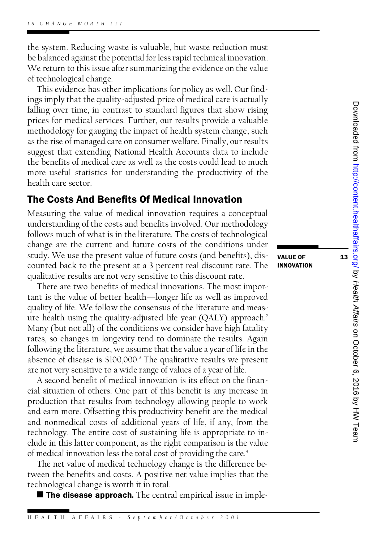the system. Reducing waste is valuable, but waste reduction must the system. Reducing waste is valuable, but waste reduction must<br>be balanced against the potential for less rapid technical innovation.<br>We return to this issue after summarizing the evidence on the value the system. Reducing waste is valuable, but waste reduction must<br>be balanced against the potential for less rapid technical innovation.<br>We return to this issue after summarizing the evidence on the value<br>of technological c be balanced against the po<br>We return to this issue af<br>of technological change.<br>This evidence has other of technological change.<br>This evidence has other implications for policy as well. Our find-

ings imply that the quality-adjusted price of medical care is actually This evidence has other implications for policy as well. Our find-<br>ings imply that the quality-adjusted price of medical care is actually<br>falling over time, in contrast to standard figures that show rising<br>prices for medic ings imply that the quality-adjusted price of medical care is actually<br>falling over time, in contrast to standard figures that show rising<br>prices for medical services. Further, our results provide a valuable<br>methodology fo falling over time, in contrast to standard figures that show rising<br>prices for medical services. Further, our results provide a valuable<br>methodology for gauging the impact of health system change, such<br>as the rise of manag prices for medical services. Further, our results provide a valuable<br>methodology for gauging the impact of health system change, such<br>as the rise of managed care on consumer welfare. Finally, our results<br>suggest that exten methodology tor gauging the impact of health system change, such<br>as the rise of managed care on consumer welfare. Finally, our results<br>suggest that extending National Health Accounts data to include<br>the benefits of medical as the rise of managed care on consumer welfare. Finally, our results<br>suggest that extending National Health Accounts data to include<br>the benefits of medical care as well as the costs could lead to much<br>more useful statist suggest that extending National Health Accounts data to include<br>the benefits of medical care as well as the costs could lead to much<br>more useful statistics for understanding the productivity of the<br>health care sector the benefits of medi<br>more useful statist<br>health care sector. more useful statistics for understanding the productivity of the health care sector.<br>**The Costs And Benefits Of Medical Innovation** 

## **The Costs And Benefits Of Medical Innovation**<br>Measuring the value of medical innovation requires a conceptual

The COStS And Benefits Of Medical inhovation<br>Measuring the value of medical innovation requires a conceptual<br>understanding of the costs and benefits involved. Our methodology<br>follows much of what is in the literature. The Measuring the value of medical innovation requires a conceptual<br>understanding of the costs and benefits involved. Our methodology<br>follows much of what is in the literature. The costs of technological<br>change are the current understanding of the costs and benefits involved. Our methodology<br>follows much of what is in the literature. The costs of technological<br>change are the current and future costs of the conditions under<br>study. We use the pres follows much of what is in the literature. The costs of technological<br>change are the current and future costs of the conditions under<br>study. We use the present value of future costs (and benefits), dis-<br>counted back to the change are the current and luture costs of the conditions under<br>study. We use the present value of future costs (and benefits), discounted back to the present at a 3 percent real discount rate. The<br>qualitative results are study. We use the present value of future costs (and benefits)<br>counted back to the present at a 3 percent real discount rate<br>qualitative results are not very sensitive to this discount rate.<br>There are two benefits of medic qualitative results are not very sensitive to this discount rate.<br>There are two benefits of medical innovations. The most impor-

qualitative results are not very sensitive to this discount rate.<br>There are two benefits of medical innovations. The most impor-<br>tant is the value of better health—longer life as well as improved<br>quality of life. We follow There are two benefits of medical innovations. The most impor-<br>tant is the value of better health—longer life as well as improved<br>quality of life. We follow the consensus of the literature and meas-<br>ure health using the qu tant is the value of better health—longer life as well as improved<br>quality of life. We follow the consensus of the literature and meas-<br>ure health using the quality-adjusted life year (QALY) approach.<sup>2</sup><br>Many (but not all) ure health using the quality-adjusted life year (QALY) approach.<sup>2</sup><br>Many (but not all) of the conditions we consider have high fatality<br>rates, so changes in longevity tend to dominate the results. Again<br>following the liter Many (but not all) of the conditions we consider have high fatality<br>rates, so changes in longevity tend to dominate the results. Again<br>following the literature, we assume that the value a year of life in the<br>absence of dis rates, so changes in longevity tend to dominate the results. Again<br>following the literature, we assume that the value a year of life in the<br>absence of disease is \$100,000.<sup>3</sup> The qualitative results we present<br>are not very absence of disease is  $$100,000$ .<sup>3</sup> The qualitative results we present are not very sensitive to a wide range of values of a year of life.

A second benefit of medical innovation is its effect on the finanare not very sensitive to a wide range of values of a year of life.<br>A second benefit of medical innovation is its effect on the financial situation of others. One part of this benefit is any increase in<br>production that res A second benefit of medical innovation is its effect on the financial situation of others. One part of this benefit is any increase in production that results from technology allowing people to work and earn more. Offsetti cial situation of others. One part of this benefit is any increase in<br>production that results from technology allowing people to work<br>and earn more. Offsetting this productivity benefit are the medical<br>and nonmedical costs production that results from technology allowing people to work<br>and earn more. Offsetting this productivity benefit are the medical<br>and nonmedical costs of additional years of life, if any, from the<br>technology. The entire and nonmedical costs of additional years of life, if any, from the technology. The entire cost of sustaining life is appropriate to inand nonmedical costs of additional years of life, if any, from the<br>technology. The entire cost of sustaining life is appropriate to in-<br>clude in this latter component, as the right comparison is the value<br>of medical innova technology. The entire cost of sustaining life is appropriate to include in this latter component, as the right comparison is the value of medical innovation less the total cost of providing the care.<sup>4</sup><br>The net value of m

of medical innovation less the total cost of providing the care.<sup>4</sup><br>The net value of medical technology change is the difference be-<br>tween the benefits and costs. A positive net value implies that the<br>technological change The net value of medical technology ch<br>tween the benefits and costs. A positive if<br>technological change is worth it in total.<br>**The disease approach**. The central technological change is worth it in total.<br> **n The disease approach.** The central empirical issue in imple-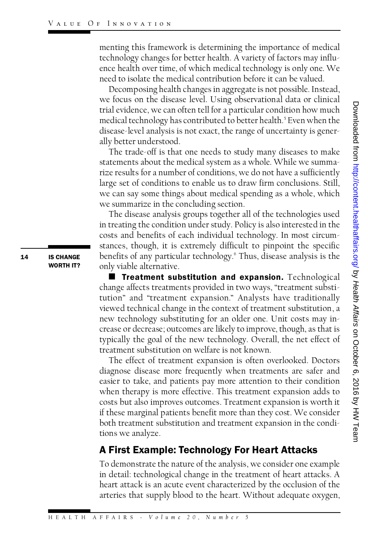menting this framework is determining the importance of medical menting this framework is determining the importance of medical<br>technology changes for better health. A variety of factors may influ-<br>ence health over time, of which medical technology is only one. We menting this framework is determining the importance of medical<br>technology changes for better health. A variety of factors may influ-<br>ence health over time, of which medical technology is only one. We<br>need to isolate the m technology changes for better health. A variety of factors may inflerice health over time, of which medical technology is only one. V<br>need to isolate the medical contribution before it can be valued.<br>Decomposing health cha ce health over time, of which medical technology is only one. We<br>ed to isolate the medical contribution before it can be valued.<br>Decomposing health changes in aggregate is not possible. Instead,<br>r focus on the disease leve

need to isolate the medical contribution before it can be valued.<br>Decomposing health changes in aggregate is not possible. Instead,<br>we focus on the disease level. Using observational data or clinical<br>trial evidence, we can Decomposing health changes in aggregate is not possible. Instead,<br>we focus on the disease level. Using observational data or clinical<br>trial evidence, we can often tell for a particular condition how much<br>medical technology trial evidence, we can often tell for a particular condition how much<br>medical technology has contributed to better health.<sup>5</sup> Even when the<br>disease-level analysis is not exact, the range of uncertainty is gener-<br>ally bette medical technology has c<br>disease-level analysis is 1<br>ally better understood.<br>The trade-off is that 0 ally better understood.<br>The trade-off is that one needs to study many diseases to make

ally better understood.<br>The trade-off is that one needs to study many diseases to make<br>statements about the medical system as a whole. While we summa-<br>rize results for a number of conditions, we do not have a sufficiently The trade-off is that one needs to study many diseases to make<br>statements about the medical system as a whole. While we summa-<br>rize results for a number of conditions, we do not have a sufficiently<br>large set of conditions statements about the medical system as a whole. While we summarize results for a number of conditions, we do not have a sufficiently large set of conditions to enable us to draw firm conclusions. Still, we can say some thi rize results for a number of conditions, we do not have a sufficiently<br>large set of conditions to enable us to draw firm conclusions. Still,<br>we can say some things about medical spending as a whole, which<br>we summarize in t we can say some things about medical spending as a whole, which<br>we summarize in the concluding section.

The disease analysis groups together all of the technologies used we summarize in the concluding section.<br>The disease analysis groups together all of the technologies used<br>in treating the condition under study. Policy is also interested in the<br>costs and benefits of each individual techno The disease analysis groups together all of the technologies used<br>in treating the condition under study. Policy is also interested in the<br>costs and benefits of each individual technology. In most circum-<br>stances, though, i costs and benefits of each individual technology. In most circum-<br>stances, though, it is extremely difficult to pinpoint the specific costs and benefits of each individual technology. In most circum-<br>stances, though, it is extremely difficult to pinpoint the specific<br>benefits of any particular technology.<sup>6</sup> Thus, disease analysis is the<br>only viable alte only viable alternative. nefits of any particular technology.<sup>6</sup> Thus, disease analysis is the<br>ly viable alternative.<br>■ Treatment substitution and expansion. Technological<br>ange affects treatments provided in two ways. "treatment substi

we can our assumed to the tractional value of extraction in the control of the medical technology has contributed to better health.<sup>5</sup> Even when the medical technology has contributed to better health.<sup>5</sup> Even when the al **E** Treatment substitution and expansion. Technological change affects treatments provided in two ways, "treatment substi-**Expansion.** Technological<br>change affects treatments provided in two ways, "treatment substi-<br>tution" and "treatment expansion." Analysts have traditionally<br>viewed technical change in the context of treatment substitution change affects treatments provided in two ways, "treatment substitution" and "treatment expansion." Analysts have traditionally<br>viewed technical change in the context of treatment substitution, a<br>new technology substitutin viewed technical change in the context of treatment substitution, a<br>new technology substituting for an older one. Unit costs may inviewed technical change in the context of treatment substitution, a<br>new technology substituting for an older one. Unit costs may in-<br>crease or decrease; outcomes are likely to improve, though, as that is<br>typically the goal new technology substituting for an older one. Unit costs may increase or decrease; outcomes are likely to improve, though, as that is typically the goal of the new technology. Overall, the net effect of treatment substitut typically the goal of the new technology. Overall, the net effect of<br>treatment substitution on welfare is not known.

The effect of treatment expansion is often overlooked. Doctors diagnose disease more frequently when treatments are safer and The effect of treatment expansion is often overlooked. Doctors<br>diagnose disease more frequently when treatments are safer and<br>easier to take, and patients pay more attention to their condition<br>when therany is more effectiv diagnose disease more frequently when treatments are safer and<br>easier to take, and patients pay more attention to their condition<br>when therapy is more effective. This treatment expansion adds to<br>costs but also improves out easier to take, and patients pay more attention to their condition<br>when therapy is more effective. This treatment expansion adds to<br>costs but also improves outcomes. Treatment expansion is worth it<br>if these marginal patien when therapy is more effective. This treatment expansion adds to<br>costs but also improves outcomes. Treatment expansion is worth it<br>if these marginal patients benefit more than they cost. We consider<br>both treatment substitu costs but also improves outcomes. Treatment expansion is worth it<br>if these marginal patients benefit more than they cost. We consider<br>both treatment substitution and treatment expansion in the condi-<br>tions we analyze. both treatment substitution and treatment expansion in the condiboth treatment substitution and treatment expansion in the cond<br>tions we analyze.<br>**A First Example: Technology For Heart Attacks** 

**A First Example: Technology For Heart Attacks**<br>To demonstrate the nature of the analysis, we consider one example<br>in detail: technological change in the treatment of heart attacks. A To demonstrate the nature of the analysis, we consider one example<br>in detail: technological change in the treatment of heart attacks. A<br>heart attack is an acute event characterized by the occlusion of the To demonstrate the nature of the analysis, we consider one example<br>in detail: technological change in the treatment of heart attacks. A<br>heart attack is an acute event characterized by the occlusion of the<br>arteries that sup heart attack is an acute event characterized by the occlusion of the<br>arteries that supply blood to the heart. Without adequate oxygen,

**14** IS CHANGE **IS CHANGE**<br>WORTH IT?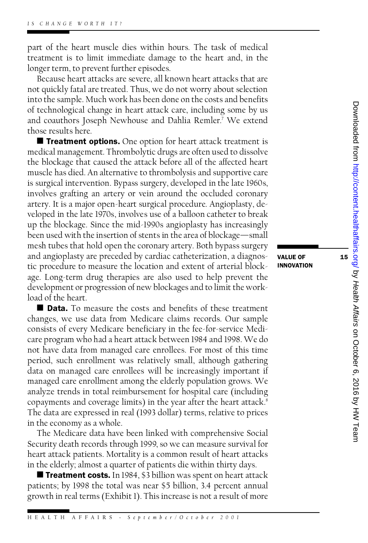part of the heart muscle dies within hours. The task of medical<br>treatment is to limit immediate damage to the heart and in the part of the heart muscle dies within hours. The task of medical<br>treatment is to limit immediate damage to the heart and, in the<br>longer term to prevent further episodes treatment is to limit immediate damage to the heart and, in the longer term, to prevent further episodes.

Because heart attacks are severe, all known heart attacks that are longer term, to prevent further episodes.<br>Because heart attacks are severe, all known heart attacks that are<br>not quickly fatal are treated. Thus, we do not worry about selection<br>into the sample. Much work has been done on Because heart attacks are severe, all known heart attacks that are<br>not quickly fatal are treated. Thus, we do not worry about selection<br>into the sample. Much work has been done on the costs and benefits<br>of technological ch into the sample. Much work has been done on the costs and benefits<br>of technological change in heart attack care, including some by us into the sample. Much work has been done on the costs and benefits<br>of technological change in heart attack care, including some by us<br>and coauthors Joseph Newhouse and Dahlia Remler.<sup>7</sup> We extend<br>those results here of technological cha<br>and coauthors Jose<br>those results here.<br>■ Treatment on those results here.<br> **E** Treatment options. One option for heart attack treatment is

medical management. Thrombolytic drugs are often used to dissolve ■ Treatment options. One option for heart attack treatment is<br>medical management. Thrombolytic drugs are often used to dissolve<br>the blockage that caused the attack before all of the affected heart<br>muscle has died. An alte medical management. Thrombolytic drugs are often used to dissolve<br>the blockage that caused the attack before all of the affected heart<br>muscle has died. An alternative to thrombolysis and supportive care<br>is surgical interve muscle has died. An alternative to thrombolysis and supportive care<br>is surgical intervention. Bypass surgery, developed in the late 1960s, muscle has died. An alternative to thrombolysis and supportive care<br>is surgical intervention. Bypass surgery, developed in the late 1960s,<br>involves grafting an artery or vein around the occluded coronary<br>artery. It is a ma is surgical intervention. Bypass surgery, developed in the late 1960s,<br>involves grafting an artery or vein around the occluded coronary<br>artery. It is a major open-heart surgical procedure. Angioplasty, de-<br>veloped in the l involves grafting an artery or vein around the occluded coronary<br>artery. It is a major open-heart surgical procedure. Angioplasty, de-<br>veloped in the late 1970s, involves use of a balloon catheter to break<br>up the blockage. artery. It is a major open-heart surgical procedure. Angioplasty, developed in the late 1970s, involves use of a balloon catheter to break<br>up the blockage. Since the mid-1990s angioplasty has increasingly<br>been used with th veloped in the late 1970s, involves use of a balloon catheter to break<br>up the blockage. Since the mid-1990s angioplasty has increasingly<br>been used with the insertion of stents in the area of blockage—small<br>mesh tubes that up the blockage. Since the mid-1990s angioplasty has increasingly<br>been used with the insertion of stents in the area of blockage—small<br>mesh tubes that hold open the coronary artery. Both bypass surgery<br>and angioplasty are been used with the insertion of stents in the area of blockage—small<br>mesh tubes that hold open the coronary artery. Both bypass surgery<br>and angioplasty are preceded by cardiac catheterization, a diagnos-<br>tic procedure to m mesh tubes that hold open the coronary artery. Both bypass surgery<br>and angioplasty are preceded by cardiac catheterization, a diagnos-<br>tic procedure to measure the location and extent of arterial block-<br>age. I ong-term dru and angioplasty are preceded by cardiac catheterization, a diagnos-<br>tic procedure to measure the location and extent of arterial block-<br>age. Long-term drug therapies are also used to help prevent the tic procedure to measure the location and extent of arterial block-<br>age. Long-term drug therapies are also used to help prevent the<br>development or progression of new blockages and to limit the work-<br>load of the heart age. Long-term di<br>development or pr<br>load of the heart.<br>■ **Data**. To me velopment or progression of new blockages and to limit the work∤<br>
and of the heart.<br>
■ Data. To measure the costs and benefits of these treatment<br>
anges we use data from Medicare claims records. Our sample

load of the heart.<br>■ **Data.** To measure the costs and benefits of these treatment<br>changes, we use data from Medicare claims records. Our sample<br>consists of every Medicare beneficiary in the fee-for-service Medi-■ Data. To measure the costs and benefits of these treatment<br>changes, we use data from Medicare claims records. Our sample<br>consists of every Medicare beneficiary in the fee-for-service Medi-<br>care program who had a heart a changes, we use data from Medicare claims records. Our sample<br>consists of every Medicare beneficiary in the fee-for-service Medi-<br>care program who had a heart attack between 1984 and 1998. We do<br>not have data from managed consists of every Medicare beneficiary in the fee-for-service Medi-<br>care program who had a heart attack between 1984 and 1998. We do<br>not have data from managed care enrollees. For most of this time<br>period, such enrollment care program who had a heart attack between 1984 and 1998. We do<br>not have data from managed care enrollees. For most of this time<br>period, such enrollment was relatively small, although gathering<br>data on managed care enroll not have data from managed care enrollees. For most of this time<br>period, such enrollment was relatively small, although gathering<br>data on managed care enrollment among the elderly population grows. We<br>managed care enrollme period, such enrollment was relatively small, although gathering<br>data on managed care enrollees will be increasingly important if<br>managed care enrollment among the elderly population grows. We<br>analyze trends in total reimb data on managed care enrollees will be increasingly important if<br>managed care enrollment among the elderly population grows. We<br>analyze trends in total reimbursement for hospital care (including<br>conayments and coverage lim analyze trends in total reimbursement for hospital care (including copayments and coverage limits) in the year after the heart attack.<sup>8</sup> The data are expressed in real (1993 dollar) terms, relative to prices in the economy as a whole.

The Medicare data have been linked with comprehensive Social Security death records through 1999, so we can measure survival for The Medicare data have been linked with comprehensive Social<br>Security death records through 1999, so we can measure survival for<br>heart attack patients. Mortality is a common result of heart attacks<br>in the elderly: almost a Security death records through 1999, so we can measure survival for heart attack patients. Mortality is a common result of heart attack<br>in the elderly; almost a quarter of patients die within thirty days.<br>**Treatment costs.** art attack patients. Mortality is a common result of heart attacks<br>the elderly; almost a quarter of patients die within thirty days.<br>■ Treatment costs. In 1984, \$3 billion was spent on heart attack<br>tients: by 1998 the tot

in the elderly; almost a quarter of patients die within thirty days.<br>■ Treatment costs. In 1984, \$3 billion was spent on heart attack<br>patients; by 1998 the total was near \$5 billion, 3.4 percent annual<br>growth in real term **Extra)** Treatment costs. In 1984, \$3 billion was spent on heart attack patients; by 1998 the total was near \$5 billion, 3.4 percent annual growth in real terms (Exhibit 1). This increase is not a result of more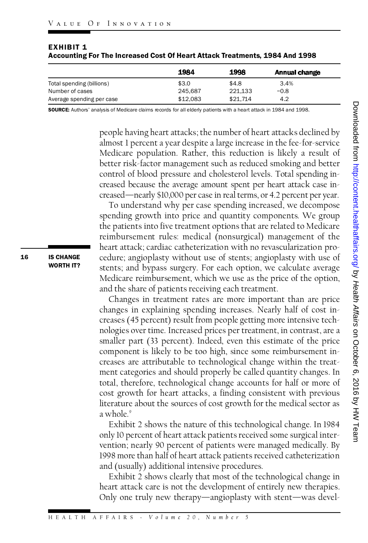|                           | 1984     | 1998     | Annual change |
|---------------------------|----------|----------|---------------|
| Total spending (billions) | \$3.0    | \$4.8    | 3.4%          |
| Number of cases           | 245.687  | 221.133  | $-0.8$        |
| Average spending per case | \$12.083 | \$21.714 | 4.2           |

| EXHIBIT 1                                                                   |  |
|-----------------------------------------------------------------------------|--|
| Accounting For The Increased Cost Of Heart Attack Treatments, 1984 And 1998 |  |

SOURCE: Authors' analysis of Medicare claims records for all elderly patients with a heart attack in 1984 and 1998.

people having heart attacks; the number of heart attacks declined by<br>almost 1 percent a year despite a large increase in the fee-for-service<br>Medicare population. Rather, this, reduction is, likely, a result of people having heart attacks; the number of heart attacks declined by<br>almost 1 percent a year despite a large increase in the fee-for-service<br>Medicare population. Rather, this reduction is likely a result of<br>better risk-fac Medicare population. Rather, this reduction is likely a result of<br>better risk-factor management such as reduced smoking and better Medicare population. Rather, this reduction is likely a result of<br>better risk-factor management such as reduced smoking and better<br>control of blood pressure and cholesterol levels. Total spending in-<br>creased because the av better risk-factor management such as reduced smoking and better<br>control of blood pressure and cholesterol levels. Total spending in-<br>creased because the average amount spent per heart attack case in-<br>creased—nearly \$10,00 creased—nearly \$10,000 per case in real terms, or 4.2 percent per year.

To understand why per case spending increased, we decompose spending growth into price and quantity components. We group the patients into five treatment options that are related to Medicare reimbursement rules: medical (nonsurgical) management of the the patients into live treatment options that are related to Medicare<br>reimbursement rules: medical (nonsurgical) management of the<br>heart attack; cardiac catheterization with no revascularization pro-<br>cedure: angionlasty wi reimbursement rules: medical (nonsurgical) management of the<br>heart attack; cardiac catheterization with no revascularization pro-<br>cedure; angioplasty without use of stents; angioplasty with use of<br>stents: and bypass surger cedure; angioplasty without use of stents; angioplasty with use of<br>stents; and bypass surgery. For each option, we calculate average cedure; angioplasty without use of stents; angioplasty with use of<br>stents; and bypass surgery. For each option, we calculate average<br>Medicare reimbursement, which we use as the price of the option,<br>and the share of patient stents; and bypass surgery. For each option, we can<br>Medicare reimbursement, which we use as the pric<br>and the share of patients receiving each treatment.<br>Changes in treatment rates are more important and the share of patients receiving each treatment.<br>Changes in treatment rates are more important than are price

**Example 1.1**<br> **Example 1.1**<br> **Example 1.1**<br> **Example 1.1**<br> **Example 1.1**<br> **Example 1.1**<br> **Example 1.1**<br> **Example 1.0**<br> **Example 1.0**<br> **Example 1.0**<br> **Example 1.0**<br> **Example 1.1**<br> **Example 1.1**<br> **Example 1.1**<br> **Example 1.** changes in explaining spending increases. Nearly half of cost in-Changes in treatment rates are more important than are price<br>changes in explaining spending increases. Nearly half of cost in-<br>creases (45 percent) result from people getting more intensive tech-<br>nologies over time. Increa changes in explaining spending increases. Nearly half of cost increases (45 percent) result from people getting more intensive tech-<br>nologies over time. Increased prices per treatment, in contrast, are a<br>smaller part (33 p nologies over time. Increased prices per treatment, in contrast, are a smaller part (33 percent). Indeed, even this estimate of the price component is likely to be too high, since some reimbursement increases are attributable to technological change within the treatcomponent is likely to be too high, since some reimbursement incomponent is likely to be too high, since some reimbursement in-<br>creases are attributable to technological change within the treat-<br>ment categories and should properly be called quantity changes. In<br>total, therefore, techn creases are attributable to technological change within the treatment categories and should properly be called quantity changes. In total, therefore, technological change accounts for half or more of cost growth for heart total, therefore, technological change accounts for half or more of<br>cost growth for heart attacks, a finding consistent with previous total, therefore, technological change accounts for half or more of<br>cost growth for heart attacks, a finding consistent with previous<br>literature about the sources of cost growth for the medical sector as<br>a whole <sup>9</sup> cost growth for heart attacks, a finding consistent with previous<br>diterature about the sources of cost growth for the medical sector as<br>a whole.<sup>9</sup><br>Exhibit 2 shows the nature of this technological change. In 1984<br>only 10 p

a whole.<sup>9</sup><br>Exhibit 2 shows the nature of this technological change. In 1984<br>only 10 percent of heart attack patients received some surgical inter-Exhibit 2 shows the nature of this technological change. In 1984<br>only 10 percent of heart attack patients received some surgical inter-<br>vention; nearly 90 percent of patients were managed medically. By<br>1998 more than half only 10 percent of heart attack patients received some surgical intervention; nearly 90 percent of patients were managed medically. By<br>1998 more than half of heart attack patients received catheterization<br>and (usually) add 1998 more than half of heart attack patients received catheterization<br>and (usually) additional intensive procedures.

Exhibit 2 shows clearly that most of the technological change in and (usually) additional intensive procedures.<br>Exhibit 2 shows clearly that most of the technological change in<br>heart attack care is not the development of entirely new therapies.<br>Only one truly new therapy—angioplasty wit Exhibit 2 shows clearly that most of the technological change in<br>heart attack care is not the development of entirely new therapies.<br>Only one truly new therapy—angioplasty with stent—was devel-Only one truly new therapy—angioplasty with stent—was devel-<br>
H E A L T H A F F A I R S - V o l u m e 20, N u m b e r 5

**16** IS CHANGE **IS CHANGE**<br>WORTH IT?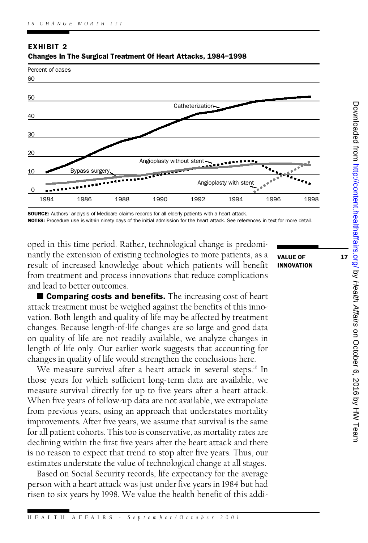

### EXHIBIT 2 Changes In The Surgical Treatment Of Heart Attacks, 1984–1998

**SOURCE:** Authors' analysis of Medicare claims records for all elderly patients with a heart attack.

NOTES: Procedure use is within ninety days of the initial admission for the heart attack. See references in text for more detail.

oped in this time period. Rather, technological change is predominantly the extension of existing technologies to more patients, as a value of oped in this time period. Rather, technological change is predominantly the extension of existing technologies to more patients, as a<br>result of increased knowledge about which patients will benefit<br>from treatment and proce nantly the extension of existing technologies to more patients, as a<br>result of increased knowledge about which patients will benefit<br>from treatment and process innovations that reduce complications<br>and lead to better outco from treatment and process innovations that reduce complications<br>and lead to better outcomes.

 $\blacksquare$  Comparing costs and benefits. The increasing cost of heart attack treatment must be weighed against the benefits of this innovation. Both length and quality of life may be affected by treatment attack treatment must be weighed against the benefits of this innovation. Both length and quality of life may be affected by treatment<br>changes. Because length-of-life changes are so large and good data<br>on quality of life a vation. Both length and quality of life may be affected by treatment<br>changes. Because length-of-life changes are so large and good data<br>on quality of life are not readily available, we analyze changes in<br>length of life onl on quality of life are not readily available, we analyze changes in length of life only. Our earlier work suggests that accounting for

changes in quality of life would strengthen the conclusions here.<br>We measure survival after a heart attack in several steps.<sup>10</sup> In those years for which sufficient long-term data are available, we We measure survival after a heart attack in several steps.<sup>10</sup> In measure survival directly for up to five years after a heart attack. When five years of follow-up data are not available, we extrapolate measure survival directly for up to five years after a heart attack.<br>When five years of follow-up data are not available, we extrapolate<br>from previous years, using an approach that understates mortality<br>improvements. After When five years of follow-up data are not available, we extrapolate<br>from previous years, using an approach that understates mortality<br>improvements. After five years, we assume that survival is the same<br>for all patient coho improvements. After five years, we assume that survival is the same for all patient cohorts. This too is conservative, as mortality rates are declining within the first five years after the heart attack and there is no reason to expect that trend to stop after five years. Thus, our declining within the first five years after the heart attack and there estimates understate the value of technological change at all stages.

Based on Social Security records, life expectancy for the average estimates understate the value of technological change at all stages.<br>Based on Social Security records, life expectancy for the average<br>person with a heart attack was just under five years in 1984 but had<br>risen to six year Based on Social Security records, life expectancy for the average<br>person with a heart attack was just under five years in 1984 but had<br>risen to six years by 1998. We value the health benefit of this addi-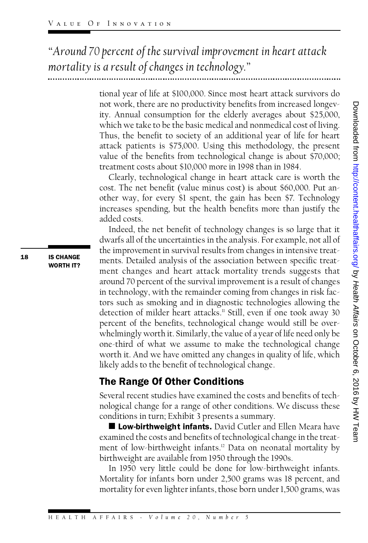*"Around 70 percent of the survival improvement in heart attack mortality is a result of changes in technology."*

tional year of life at \$100,000. Since most heart attack survivors do<br>not work there are no productivity benefits from increased longey tional year of life at \$100,000. Since most heart attack survivors do<br>not work, there are no productivity benefits from increased longev-<br>ity -Annual consumption for the elderly averages about \$25,000 tional year of life at \$100,000. Since most heart attack survivors do<br>not work, there are no productivity benefits from increased longev-<br>ity. Annual consumption for the elderly averages about \$25,000,<br>which we take to be not work, there are no productivity benefits from increased longevity. Annual consumption for the elderly averages about \$25,000, which we take to be the basic medical and nonmedical cost of living.<br>Thus, the benefit to so ity. Annual consumption for the elderly averages about \$25,000,<br>which we take to be the basic medical and nonmedical cost of living.<br>Thus, the benefit to society of an additional year of life for heart<br>attack patients is \$ which we take to be the basic medical and nonmedical cost of living.<br>Thus, the benefit to society of an additional year of life for heart<br>attack patients is \$75,000. Using this methodology, the present<br>value of the benefit attack patients is \$75,000. Using this methodology, the present<br>value of the benefits from technological change is about \$70,000;<br>treatment costs about \$10,000 more in 1998 than in 1984. value of the benefits from technological change is about \$70,000;

cost. The net benefit (value minus cost) is about \$60,000. Put another way, for every \$1 spent, the gain has been \$7. Technology cost. The net benefit (value minus cost) is about \$60,000. Put an-<br>other way, for every \$1 spent, the gain has been \$7. Technology<br>increases spending, but the health benefits more than justify the<br>added costs other way, to<br>increases sper<br>added costs.<br>Indeed the reases spending, but the health benefits more than justify the<br>ded costs.<br>Indeed, the net benefit of technology changes is so large that it<br>varfs all of the uncertainties in the analysis. For example not all of

t work, there are no productivity benefits from increased longevors. Amand consumption for the elderly averages about \$2,7000,  $\frac{8}{5}$  cannual consumption for the dielerly averages about \$2,7000,  $\frac{8}{5}$  cares ack pat added costs.<br>Indeed, the net benefit of technology changes is so large that it<br>dwarfs all of the uncertainties in the analysis. For example, not all of<br>the improvement in survival results from changes in intensive treatdwarfs all of the uncertainties in the analysis. For example, not all of<br>the improvement in survival results from changes in intensive treatments. Detailed analysis of the association between specific treatment changes and heart attack mortality trends suggests that ments. Detailed analysis of the association between specific treatment changes and heart attack mortality trends suggests that<br>around 70 percent of the survival improvement is a result of changes<br>in technology with the rem ment changes and heart attack mortality trends suggests that<br>around 70 percent of the survival improvement is a result of changes<br>in technology, with the remainder coming from changes in risk fac-<br>tors such as smoking and in technology, with the remainder coming from changes in risk factors such as smoking and in diagnostic technologies allowing the in technology, with the remainder coming from changes in risk fac-<br>tors such as smoking and in diagnostic technologies allowing the<br>detection of milder heart attacks.<sup>11</sup> Still, even if one took away 30<br>percent of the bene tors such as smoking and in diagnostic technologies allowing the<br>detection of milder heart attacks." Still, even if one took away 30<br>percent of the benefits, technological change would still be over-<br>whelmingly worth it Si percent of the benefits, technological change would still be over-<br>whelmingly worth it. Similarly, the value of a year of life need only be percent of the benefits, technological change would still be over-<br>whelmingly worth it. Similarly, the value of a year of life need only be<br>one-third of what we assume to make the technological change<br>worth it. And we have whelmingly worth it. Similarly, the value of a year of life need only be<br>one-third of what we assume to make the technological change<br>worth it. And we have omitted any changes in quality of life, which<br>likely adds to the b likely adds to the benefit of technological change. worth it. And we have omitted any changes is<br>likely adds to the benefit of technological cha<br>**The Range Of Other Conditions** 

**The Range Of Other Conditions**<br>Several recent studies have examined the costs and benefits of tech-Several recent studies have examined the costs and benefits of tech-<br>nological change for a range of other conditions. We discuss these<br>conditions in turn: Exhibit 3 presents a summary Several recent studies have examined the costs and<br>nological change for a range of other conditions. V<br>conditions in turn; Exhibit 3 presents a summary.<br>**Low-birthweight infants.** David Cutler and F conditions in turn; Exhibit 3 presents a summary.<br>**E Low-birthweight infants.** David Cutler and Ellen Meara have

conditions in turn; Exhibit 3 presents a summary.<br> **Example 18 Low-birthweight infants.** David Cutler and Ellen Meara have<br>
examined the costs and benefits of technological change in the treat-<br>
ment of low-birthweight in **Example 12 Dev-birthweight infants.** David Cutler and Ellen Meara have examined the costs and benefits of technological change in the treatment of low-birthweight infants.<sup>12</sup> Data on neonatal mortality by hirthweight ar ment of low-birthweight infants.<sup>12</sup> Data on neonatal mortality by birthweight are available from 1950 through the 1990s.

In 1950 very little could be done for low-birthweight infants. birthweight are available from 1950 through the 1990s.<br>In 1950 very little could be done for low-birthweight infants.<br>Mortality for infants born under 2,500 grams was 18 percent, and<br>mortality for even lighter infants, tho In 1950 very little could be done tor low-birthweight infants.<br>Mortality for infants born under 2,500 grams was 18 percent, and<br>mortality for even lighter infants, those born under 1,500 grams, was

**18** IS CHANGE **IS CHANGE**<br>WORTH IT?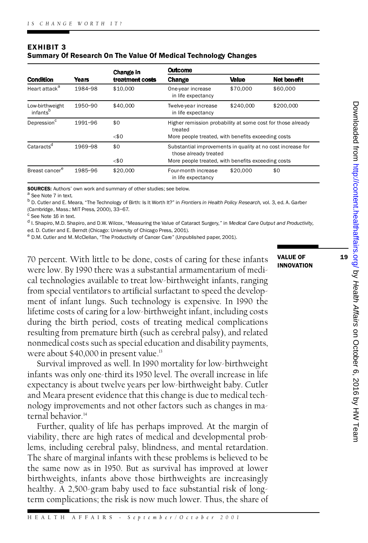| <b>EXHIBIT 3</b> |                                                                |
|------------------|----------------------------------------------------------------|
|                  | Summary Of Research On The Value Of Medical Technology Changes |

|                                         | Years   | Change in<br>treatment costs | Outcome                                                                              |              |             |
|-----------------------------------------|---------|------------------------------|--------------------------------------------------------------------------------------|--------------|-------------|
| Condition                               |         |                              | Change                                                                               | <b>Value</b> | Net benefit |
| Heart attack <sup>a</sup>               | 1984-98 | \$10,000                     | One-year increase<br>in life expectancy                                              | \$70,000     | \$60,000    |
| Low-birthweight<br>infants <sup>b</sup> | 1950-90 | \$40,000                     | Twelve-year increase<br>in life expectancy                                           | \$240,000    | \$200,000   |
| Depression <sup>c</sup>                 | 1991-96 | \$0                          | Higher remission probability at some cost for those already<br>treated               |              |             |
|                                         |         | $<$ \$0                      | More people treated, with benefits exceeding costs                                   |              |             |
| Cataracts <sup>a</sup>                  | 1969-98 | \$0                          | Substantial improvements in quality at no cost increase for<br>those already treated |              |             |
|                                         |         | $<$ \$0                      | More people treated, with benefits exceeding costs                                   |              |             |
| Breast cancer <sup>e</sup>              | 1985-96 | \$20,000                     | Four-month increase<br>in life expectancy                                            | \$20,000     | \$0         |

in life expectancy<br>**SOURCES:** Authors' own work and summary of other studies; see below.<br><sup>a</sup> See Note 7 in text.<br><sup>b</sup> D. Cutler and E. Meara, "The Technology of Birth: Is It Worth It?" in *Frontiers in Health Policy Researc*  $^{\circ}$  See Note 7 in text.<br> $^{\circ}$  D. Cutler and E. Meara, "The Technology of Bi<br>(Cambridge, Mass.: MIT Press, 2000), 33–67.<br> $^{\circ}$  See Note 16 in text.<br> $^{\circ}$  I. Shaniro. M. D. Shaniro. and D. W. Wilcox. "Me

:ambridge, Mass.: MIT Press, 2000), 33–67.<br>See Note 16 in text.<br>I. Shapiro, M.D. Shapiro, and D.W. Wilcox, "Measuring the Value of Cataract Surgery," in *Medical Care Output and Productivity,*<br>J.D. Critles and E. Bernet (C <sup>v</sup> See Note 16 in text.<br><sup>d</sup> I. Shapiro, M.D. Shapiro, and D.W. Wilcox, "Measuring the Value of Cataract Surgery," in *Medic*<br>ed. D. Cutler and E. Berndt (Chicago: University of Chicago Press, 2001).<br><sup>e</sup> D.M. Cutler and M.

0.0.0.0.1.1 percent. With little to be done, costs of caring for these infants<br>70 percent. With little to be done, costs of caring for these infants<br>were low. By 1990 there was a substantial armamentarium of medi-70 percent. With little to be done, costs of caring for these infants<br>were low. By 1990 there was a substantial armamentarium of medi-<br>cal technologies available to treat low-birthweight infants, ranging 70 percent. With little to be done, costs of caring for these infants **VALUE OF** were low. By 1990 there was a substantial armamentarium of medical technologies available to treat low-birthweight infants, ranging from special ventilators to artificial surfactant to speed the development of infant lungs. Such technology is expensive. In 1990 the ltrom special ventilators to artificial surfactant to speed the development of infant lungs. Such technology is expensive. In 1990 the lifetime costs of caring for a low-birthweight infant, including costs during the birth ment of infant lungs. Such technology is expensive. In 1990 the<br>lifetime costs of caring for a low-birthweight infant, including costs<br>during the birth period, costs of treating medical complications<br>resulting from prematu during the birth period, costs of treating medical complications resulting from premature birth (such as cerebral palsy), and related during the birth period, costs of treating medical complications<br>resulting from premature birth (such as cerebral palsy), and related<br>nonmedical costs such as special education and disability payments,<br>were about \$40,000 i resulting from premature birth (such as<br>nonmedical costs such as special educat<br>were about \$40,000 in present value.<sup>13</sup><br>Survival improved as well In 1990 m were about \$40,000 in present value.<sup>13</sup><br>Survival improved as well. In 1990 mortality for low-birthweight

were about \$40,000 in present value.<sup>13</sup><br>Survival improved as well. In 1990 mortality for low-birthweight<br>infants was only one-third its 1950 level. The overall increase in life<br>expectancy is about twelve years per low-bir Survival improved as well. In 1990 mortality for low-birthweight<br>infants was only one-third its 1950 level. The overall increase in life<br>expectancy is about twelve years per low-birthweight baby. Cutler<br>and Meara present e expectancy is about twelve years per low-birthweight baby. Cutler<br>and Meara present evidence that this change is due to medical tech-<br>nology improvements and not other factors such as changes in maand Meara present evidence that this change is due to medical technology improvements and not other factors such as changes in ma-<br>ternal behavior.<sup>14</sup>

Further, quality of life has perhaps improved. At the margin of viability, there are high rates of medical and developmental prob-Further, quality of life has perhaps improved. At the margin of viability, there are high rates of medical and developmental problems, including cerebral palsy, blindness, and mental retardation.<br>The share of marginal infa viability, there are high rates of medical and developmental prob-<br>lems, including cerebral palsy, blindness, and mental retardation.<br>The share of marginal infants with these problems is believed to be<br>the same now as in 1 The share of marginal infants with these problems is believed to be the same now as in 1950. But as survival has improved at lower birthweights, infants above those birthweights are increasingly<br>healthy. A 2,500-gram baby used to face substantial risk of long-<br>term complications; the risk is now much lower. Thus, the share of healthy. A 2,500-gram baby used to face substantial risk of long-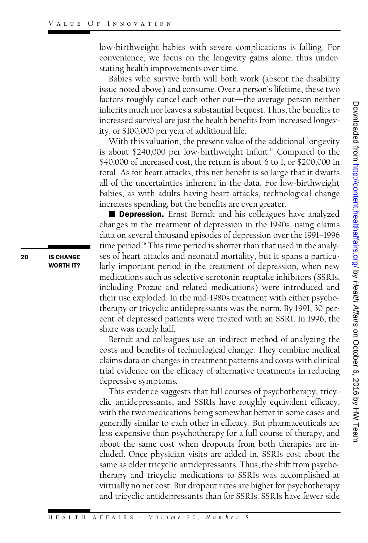INNOVATION<br>low-birthweight babies with severe complications is falling. For<br>convenience, we focus on the longevity gains alone, thus underlow-birthweight babies with severe complications is falling. For<br>convenience, we focus on the longevity gains alone, thus underconvenience, we focus on the longevity gains alone, thus under-<br>stating health improvements over time. nvenience, we tocus on the longevity gains alone, thus under-<br>ting health improvements over time.<br>Babies who survive birth will both work (absent the disability<br>ue noted above) and consume Over a person's lifetime, these t

stating health improvements over time.<br>Babies who survive birth will both work (absent the disability<br>issue noted above) and consume. Over a person's lifetime, these two<br>factors roughly cancel each other out—the average pe issue noted above) and consume. Over a person's lifetime, these two<br>factors roughly cancel each other out—the average person neither issue noted above) and consume. Over a person's lifetime, these two<br>factors roughly cancel each other out—the average person neither<br>inherits much nor leaves a substantial bequest. Thus, the benefits to<br>increased survival tactors roughly cancel each other out—the average person neither<br>inherits much nor leaves a substantial bequest. Thus, the benefits to<br>increased survival are just the health benefits from increased longev-<br>ity\_or \$100,000 increased survival are just the health benefits from increased longev-<br>ity, or \$100,000 per year of additional life.

ity, or \$100,000 per year of additional life.<br>With this valuation, the present value of the additional longevity<br>is about \$240,000 per low-birthweight infant.<sup>15</sup> Compared to the<br>\$40,000 of increased cost, the return is ab With this valuation, the present value of the additional longevity<br>is about \$240,000 per low-birthweight infant.<sup>5</sup> Compared to the<br>\$40,000 of increased cost, the return is about 6 to 1, or \$200,000 in<br>total. As for heart is about \$240,000 per low-birthweight infant.<sup>15</sup> Compared to the<br>\$40,000 of increased cost, the return is about 6 to 1, or \$200,000 in<br>total. As for heart attacks, this net benefit is so large that it dwarfs<br>all of the un \$40,000 of increased cost, the return is about 6 to 1, or \$200,000 in<br>total. As for heart attacks, this net benefit is so large that it dwarfs<br>all of the uncertainties inherent in the data. For low-birthweight<br>babies, as w total. As for heart attacks, this net benefit is so large that it dwarfs<br>all of the uncertainties inherent in the data. For low-birthweight<br>babies, as with adults having heart attacks, technological change<br>increases spendi all of the uncertainties inherent in the data. For low<br>babies, as with adults having heart attacks, technole<br>increases spending, but the benefits are even greater.<br>■ Depression. Frnst Berndt and his colleagues h increases spending, but the benefits are even greater.<br>**Depression.** Ernst Berndt and his colleagues have analyzed

Note that the head that the antic of the additional life, the proton increased survival are just the health benefits from increased longev-<br>creased survival are just the health benefits from increased longevity<br>of the his changes in the treatment of depression in the 1990s, using claims **Example 3** Depression. Ernst Berndt and his colleagues have analyzed changes in the treatment of depression in the 1990s, using claims data on several thousand episodes of depression over the 1991–1996 time period <sup>16</sup> T changes in the treatment of depression in the 1990s, using claims<br>data on several thousand episodes of depression over the 1991–1996<br>time period.<sup>16</sup> This time period is shorter than that used in the analy-<br>ses of heart at data on several thousand episodes of depression over the 1991–1996<br>time period.<sup>16</sup> This time period is shorter than that used in the analy-<br>ses of heart attacks and neonatal mortality, but it spans a particu-<br>larly import time period.<sup>16</sup> This time period is shorter than that used in the analy-<br>ses of heart attacks and neonatal mortality, but it spans a particu-<br>larly important period in the treatment of depression, when new<br>medications su larly important period in the treatment of depression, when new<br>medications such as selective serotonin reuptake inhibitors (SSRIs, including Prozac and related medications) were introduced and medications such as selective serotonin reuptake inhibitors (SSRIs,<br>including Prozac and related medications) were introduced and<br>their use exploded. In the mid-1980s treatment with either psycho-<br>therapy or tricyclic anti including Prozac and related medications) were introduced and<br>their use exploded. In the mid-1980s treatment with either psycho-<br>therapy or tricyclic antidepressants was the norm. By 1991, 30 per-<br>cent of depressed patient therapy or tricyclic antidepressants was the norm. By 1991, 30 percent of depressed patients were treated with an SSRI. In 1996, the share was nearly half.

Berndt and colleagues use an indirect method of analyzing the costs and benefits of technological change. They combine medical claims data on changes in treatment patterns and costs with clinical trial evidence on the efficacy of alternative treatments in reducing depressive symptoms. al evidence on the efficacy of alternative treatments in reducing<br>pressive symptoms.<br>This evidence suggests that full courses of psychotherapy, tricy-<br>c\_antidenressants\_and\_SSRIs\_have\_roughly\_equivalent\_efficacy

depressive symptoms.<br>This evidence suggests that full courses of psychotherapy, tricy-<br>clic antidepressants, and SSRIs have roughly equivalent efficacy,<br>with the two medications being somewhat better in some cases and This evidence suggests that full courses of psychotherapy, tricy-<br>clic antidepressants, and SSRIs have roughly equivalent efficacy,<br>with the two medications being somewhat better in some cases and<br>generally similar to each clic antidepressants, and SSRIs have roughly equivalent efficacy,<br>with the two medications being somewhat better in some cases and<br>generally similar to each other in efficacy. But pharmaceuticals are<br>less expensive than ps generally similar to each other in efficacy. But pharmaceuticals are less expensive than psychotherapy for a full course of therapy, and<br>about the same cost when dropouts from both therapies are in-<br>cluded. Once physician visits are added in, SSRIs cost about the about the same cost when dropouts from both therapies are insame as older tricyclic antidepressants. Thus, the shift from psychocluded. Once physician visits are added in, SSRIs cost about the<br>same as older tricyclic antidepressants. Thus, the shift from psycho-<br>therapy and tricyclic medications to SSRIs was accomplished at<br>virtually no net cost. B same as older tricyclic antidepressants. Thus, the shift from psycho-<br>therapy and tricyclic medications to SSRIs was accomplished at<br>virtually no net cost. But dropout rates are higher for psychotherapy<br>and tricyclic antid virtually no net cost. But dropout rates are higher for psychotherapy<br>and tricyclic antidepressants than for SSRIs. SSRIs have fewer side

ENDERENDERENDEL SOM IS CHANGE **IS CHANGE**<br>WORTH IT?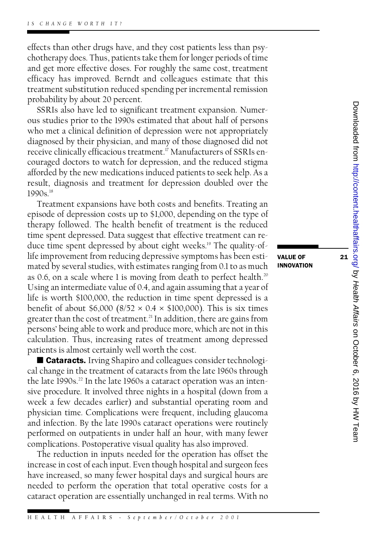effects than other drugs have, and they cost patients less than psyeffects than other drugs have, and they cost patients less than psychotherapy does. Thus, patients take them for longer periods of time<br>and get more effective doses. For roughly the same cost, treatment effects than other drugs have, and they cost patients less than psychotherapy does. Thus, patients take them for longer periods of time<br>and get more effective doses. For roughly the same cost, treatment<br>efficacy has improv chotherapy does. Thus, patients take them for longer periods of time<br>and get more effective doses. For roughly the same cost, treatment<br>efficacy has improved. Berndt and colleagues estimate that this<br>treatment substitution and get more effective doses. For roughly the same cost, treatment<br>efficacy has improved. Berndt and colleagues estimate that this<br>treatment substitution reduced spending per incremental remission<br>probability by about 20 p treatment substitution reduced spending per incremental remission<br>probability by about 20 percent.

SSRIs also have led to significant treatment expansion. Numerous studies prior to the 1990s estimated that about half of persons who met a clinical definition of depression were not appropriately ous studies prior to the 1990s estimated that about half of persons<br>who met a clinical definition of depression were not appropriately<br>diagnosed by their physician, and many of those diagnosed did not<br>receive clinically ef who met a clinical definition of depression were not appropriately<br>diagnosed by their physician, and many of those diagnosed did not<br>receive clinically efficacious treatment.<sup>17</sup> Manufacturers of SSRIs en-<br>couraged doctors receive clinically efficacious treatment.<sup>17</sup> Manufacturers of SSRIs encouraged doctors to watch for depression, and the reduced stigma receive clinically efficacious treatment.<sup>17</sup> Manufacturers of SSRIs encouraged doctors to watch for depression, and the reduced stigma<br>afforded by the new medications induced patients to seek help. As a<br>result-diagnosis a couraged doctors to watch for depression, and the reduced stigma<br>afforded by the new medications induced patients to seek help. As a<br>result, diagnosis and treatment for depression doubled over the<br>1990s <sup>18</sup> result, diagnosis and treatment for depression doubled over the<br>1990s.<sup>18</sup><br>Treatment expansions have both costs and benefits. Treating an

1990s.<sup>18</sup><br>Treatment expansions have both costs and benefits. Treating an<br>episode of depression costs up to \$1,000, depending on the type of<br>therapy followed. The health benefit of treatment is the reduced Treatment expansions have both costs and benefits. Treating an<br>episode of depression costs up to \$1,000, depending on the type of<br>therapy followed. The health benefit of treatment is the reduced<br>time spent depressed. Data episode of depression costs up to \$1,000, depending on the type of<br>therapy followed. The health benefit of treatment is the reduced<br>time spent depressed. Data suggest that effective treatment can re-<br>duce time spent depres therapy tollowed. The health benefit of treatment is the reduced<br>time spent depressed. Data suggest that effective treatment can re-<br>duce time spent depressed by about eight weeks.<sup>19</sup> The quality-of-<br>life improvement from duce time spent depressed by about eight weeks.<sup>19</sup> The quality-of-<br>life improvement from reducing depressive symptoms has been estilife improvement from reducing depressive symptoms has been esti-**value of independent conduct**<br>mated by several studies, with estimates ranging from 0.1 to as much as 0.6, on a scale where 1 is moving from death to perfect health.<sup>20</sup> Using an intermediate value of 0.4, and again assuming that a year of life is worth \$100,000, the reduction in time spent depressed is a benefit of about \$6,000 (8/52  $\times$  0.4  $\times$  \$100,000). This is six times life is worth \$100,000, the reduction in time spent depressed is a life is worth \$100,000, the reduction in time spent depressed is a<br>benefit of about \$6,000 (8/52  $\times$  0.4  $\times$  \$100,000). This is six times<br>greater than the cost of treatment.<sup>21</sup> In addition, there are gains from<br>persons benefit of about \$6,000 (8/52  $\times$  0.4  $\times$  \$100,000). This is six times<br>greater than the cost of treatment.<sup>21</sup> In addition, there are gains from<br>persons' being able to work and produce more, which are not in this<br>calcul persons' being able to work and produce more, which are not in this calculation. Thus, increasing rates of treatment among depressed patients is almost certainly well worth the cost. culation. Thus, increasing rates of treatment among depressed<br>tients is almost certainly well worth the cost.<br>■ Cataracts. Irving Shapiro and colleagues consider technologi<br>change in the treatment of cataracts from the la

patients is almost certainly well worth the cost.<br>■ Cataracts. Irving Shapiro and colleagues consider technological change in the treatment of cataracts from the late 1960s through the late 1990s<sup>22</sup> In the late 1960s a c cal change in the treatment of cataracts from the late 1960s through<br>the late 1990s.<sup>22</sup> In the late 1960s a cataract operation was an intencal change in the treatment of cataracts from the late 1960s through<br>the late 1990s.<sup>22</sup> In the late 1960s a cataract operation was an inten-<br>sive procedure. It involved three nights in a hospital (down from a<br>week a few d the late 1990s.<sup>22</sup> In the late 1960s a cataract operation was an intensive procedure. It involved three nights in a hospital (down from a<br>week a few decades earlier) and substantial operating room and<br>physician time. Comp sive procedure. It involved three nights in a hospital (down from a<br>week a few decades earlier) and substantial operating room and<br>physician time. Complications were frequent, including glaucoma<br>and infection. By the late week a tew decades earlier) and substantial operating room and<br>physician time. Complications were frequent, including glaucoma<br>and infection. By the late 1990s cataract operations were routinely<br>performed on outpatients in and infection. By the late 1990s cataract operations were routinely<br>performed on outpatients in under half an hour, with many fewer<br>complications. Postoperative visual quality has also improved. performed on outpatients in under half an hour, with many fewer

The reduction in inputs needed for the operation has offset the increase in cost of each input. Even though hospital and surgeon fees The reduction in inputs needed for the operation has offset the<br>increase in cost of each input. Even though hospital and surgeon fees<br>have increased, so many fewer hospital days and surgical hours are<br>needed to perform the increase in cost of each input. Even though hospital and surgeon fees<br>have increased, so many fewer hospital days and surgical hours are<br>needed to perform the operation that total operative costs for a<br>cataract operation a needed to perform the operation that total operative costs for a cataract operation are essentially unchanged in real terms. With no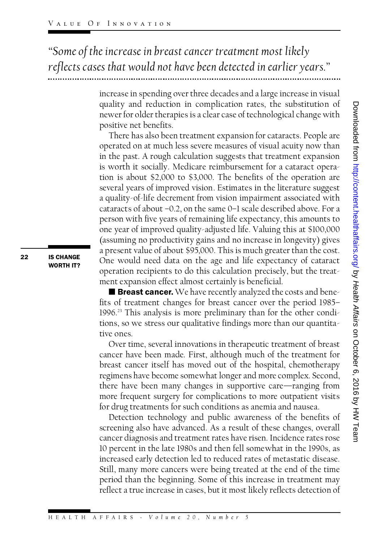*"Some of the increase in breast cancer treatment most likely reflects cases that would not have been detected in earlier years."*

> increase in spending over three decades and a large increase in visual quality and reduction in complication rates, the substitution of increase in spending over three decades and a large increase in visual<br>quality and reduction in complication rates, the substitution of<br>newer for older therapies is a clear case of technological change with<br>positive net be quality and reduction<br>newer for older therapi<br>positive net benefits.<br>There has also been

quality and reduction in complication rates, the substitution of<br>newer for older there has also charactes of technological change with<br>There has also been treatment expansion for cataracts. People are<br>operated on at much positive net benefits.<br>There has also been treatment expansion for cataracts. People are<br>operated on at much less severe measures of visual acuity now than<br>in the past. A rough calculation suggests that treatment expansion There has also been treatment expansion for cataracts. People are<br>operated on at much less severe measures of visual acuity now than<br>in the past. A rough calculation suggests that treatment expansion<br>is worth it socially. in the past. A rough calculation suggests that treatment expansion<br>is worth it socially. Medicare reimbursement for a cataract opera-<br>tion is about \$2,000 to \$3,000. The benefits of the operation are is worth it socially. Medicare reimbursement for a cataract operais worth it socially. Medicare reimbursement for a cataract operation is about \$2,000 to \$3,000. The benefits of the operation are<br>several years of improved vision. Estimates in the literature suggest<br>a quality-of-life dec tion is about \$2,000 to \$3,000. The benefits of the operation are<br>several years of improved vision. Estimates in the literature suggest<br>a quality-of-life decrement from vision impairment associated with<br>cataracts of about a quality-of-life decrement from vision impairment associated with<br>cataracts of about –0.2, on the same 0–1 scale described above. For a person with five years of remaining life expectancy, this amounts to one year of improved quality-adjusted life. Valuing this at \$100,000 person with live years of remaining life expectancy, this amounts to<br>one year of improved quality-adjusted life. Valuing this at \$100,000<br>(assuming no productivity gains and no increase in longevity) gives<br>a present value one year of improved quality-adjusted life. Valuing this at \$100,000<br>(assuming no productivity gains and no increase in longevity) gives<br>a present value of about \$95,000. This is much greater than the cost.<br>One would need (assuming no productivity gains and no increase in longevity) gives<br>a present value of about \$95,000. This is much greater than the cost.<br>One would need data on the age and life expectancy of cataract<br>operation recipients a present value of about \$95,000. This is much greater than the cost.<br>One would need data on the age and life expectancy of cataract<br>operation recipients to do this calculation precisely, but the treatment expansion effect almost certainly is beneficial.

**E** Breast cancer. We have recently analyzed the costs and benefits of treatment changes for breast cancer over the period 1985– **Example 3 Breast cancer.** We have recently analyzed the costs and benefits of treatment changes for breast cancer over the period 1985–1996.<sup>23</sup> This analysis is more preliminary than for the other condi-<br>tions, so we str tits of treatment changes for breast cancer over the period 1985–1996.<sup>23</sup> This analysis is more preliminary than for the other conditions, so we stress our qualitative findings more than our quantita-<br>tive ones tions, so we stress our qualitative findings more than our quantita-<br>tive ones. ns, so we stress our qualitative findings more than our quantita-<br>e ones.<br>Over time, several innovations in therapeutic treatment of breast<br>ncer have been made. First, although much of the treatment for

tive ones.<br>Over time, several innovations in therapeutic treatment of breast<br>cancer have been made. First, although much of the treatment for<br>breast cancer itself has moved out of the hospital, chemotherapy Over time, several innovations in therapeutic treatment of breast<br>cancer have been made. First, although much of the treatment for<br>breast cancer itself has moved out of the hospital, chemotherapy<br>regimens have become somew cancer have been made. First, although much of the treatment for<br>breast cancer itself has moved out of the hospital, chemotherapy<br>regimens have become somewhat longer and more complex. Second,<br>there have been many changes regimens have become somewhat longer and more complex. Second, there have been many changes in supportive care—ranging from<br>more frequent surgery for complications to more outpatient visits<br>for drug treatments for such conditions as anemia and nausea. more frequent surgery for complications to more outpatient visits.

Detection technology and public awareness of the benefits of screening also have advanced. As a result of these changes, overall Detection technology and public awareness of the benefits of<br>screening also have advanced. As a result of these changes, overall<br>cancer diagnosis and treatment rates have risen. Incidence rates rose<br>10 percent in the late screening also have advanced. As a result of these changes, overall<br>cancer diagnosis and treatment rates have risen. Incidence rates rose<br>10 percent in the late 1980s and then fell somewhat in the 1990s, as<br>increased early 10 percent in the late 1980s and then fell somewhat in the 1990s, as<br>increased early detection led to reduced rates of metastatic disease. Still, many more cancers were being treated at the end of the time increased early detection led to reduced rates of metastatic disease.<br>Still, many more cancers were being treated at the end of the time<br>period than the beginning. Some of this increase in treatment may<br>reflect a true incr Still, many more cancers were being treated at the end of the time<br>period than the beginning. Some of this increase in treatment may<br>reflect a true increase in cases, but it most likely reflects detection of

 $\log$ MW Team Health and Health Affairs by Health Affairs by Health Affairs bo Cctober 6, 2016 by HW Team

ENDERENDERENDEL SOM SCHANGE **IS CHANGE**<br>WORTH IT?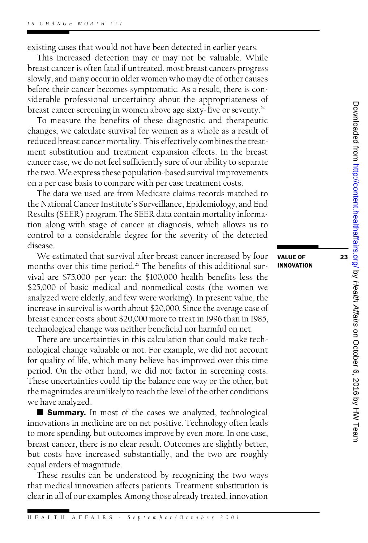existing cases that would not have been detected in earlier years.

isting cases that would not have been detected in earlier years.<br>This increased detection may or may not be valuable. While<br>east cancer is often fatal if untreated most breast cancers progress existing cases that would not have been detected in earlier years.<br>This increased detection may or may not be valuable. While<br>breast cancer is often fatal if untreated, most breast cancers progress<br>slowly and many occur in breast cancer is often fatal if untreated, most breast cancers progress<br>slowly, and many occur in older women who may die of other causes<br>before their cancer becomes symptomatic. As a result, there is conslowly, and many occur in older women who may die of other causes slowly, and many occur in older women who may die of other causes<br>before their cancer becomes symptomatic. As a result, there is considerable professional uncertainty about the appropriateness of<br>breast cancer screening in before their cancer becomes symptomatic. As a result, there is considerable professional uncertainty about the appropriateness of breast cancer screening in women above age sixty-five or seventy.<sup>24</sup> To measure the benefit

breast cancer screening in women above age sixty-five or seventy.<sup>24</sup><br>To measure the benefits of these diagnostic and therapeutic<br>changes, we calculate survival for women as a whole as a result of<br>reduced breast cancer mor To measure the benefits of these diagnostic and therapeutic<br>changes, we calculate survival for women as a whole as a result of<br>reduced breast cancer mortality. This effectively combines the treat-<br>ment substitution and tre reduced breast cancer mortality. This effectively combines the treatment substitution and treatment expansion effects. In the breast reduced breast cancer mortality. This effectively combines the treat-<br>ment substitution and treatment expansion effects. In the breast<br>cancer case, we do not feel sufficiently sure of our ability to separate<br>the two. We ex ment substitution and treatment expansion effects. In the breast<br>cancer case, we do not feel sufficiently sure of our ability to separate<br>the two. We express these population-based survival improvements<br>on a per case basis the two. We express these population-based survival improvements<br>on a per case basis to compare with per case treatment costs.

The data we used are from Medicare claims records matched to on a per case basis to compare with per case treatment costs.<br>The data we used are from Medicare claims records matched to<br>the National Cancer Institute's Surveillance, Epidemiology, and End<br>Results (SEER) program The SEER The data we used are from Medicare claims records matched to<br>the National Cancer Institute's Surveillance, Epidemiology, and End<br>Results (SEER) program. The SEER data contain mortality informa-<br>tion along with stage of can the National Cancer Institute's Surveillance, Epidemiology, and End<br>Results (SEER) program. The SEER data contain mortality informa-<br>tion along with stage of cancer at diagnosis, which allows us to<br>control to a considerabl Results (SEER) program. The SEER data contain mortality information along with stage of cancer at diagnosis, which allows us to control to a considerable degree for the severity of the detected<br>disease disease. control to a considerable degree for the severity of the detected<br>disease.<br>We estimated that survival after breast cancer increased by four<br>**VALUE OF** 

disease.<br>We estimated that survival after breast cancer increased by four<br>months over this time period.<sup>25</sup> The benefits of this additional sur-<br>vival are \$75,000 per year: the \$100,000 bealth benefits less the We estimated that survival after breast cancer increased by four<br>months over this time period.<sup>25</sup> The benefits of this additional survival are \$75,000 per year: the \$100,000 health benefits less the<br>\$25,000 of basic medi vival are \$75,000 per year: the \$100,000 health benefits less the \$25,000 of basic medical and nonmedical costs (the women we vival are \$75,000 per year: the \$100,000 health benefits less the<br>\$25,000 of basic medical and nonmedical costs (the women we<br>analyzed were elderly, and few were working). In present value, the<br>increase in survival is wort \$25,000 of basic medical and nonmedical costs (the women we<br>analyzed were elderly, and few were working). In present value, the<br>increase in survival is worth about \$20,000. Since the average case of<br>breast cancer costs abo increase in survival is worth about \$20,000. Since the average case of<br>breast cancer costs about \$20.000 more to treat in 1996 than in 1985. technological change was neither beneficial nor harmful on net.

There are uncertainties in this calculation that could make technological change valuable or not. For example, we did not account There are uncertainties in this calculation that could make tech-<br>nological change valuable or not. For example, we did not account<br>for quality of life, which many believe has improved over this time<br>period. On the other h nological change valuable or not. For example, we did not account<br>for quality of life, which many believe has improved over this time<br>period. On the other hand, we did not factor in screening costs.<br>These uncertainties cou period. On the other hand, we did not factor in screening costs.<br>These uncertainties could tip the balance one way or the other, but period. On the other hand, we did not factor in screening costs.<br>These uncertainties could tip the balance one way or the other, but<br>the magnitudes are unlikely to reach the level of the other conditions<br>we have analyzed These uncertainties<br>the magnitudes are u<br>we have analyzed.<br>**E** Summary. In we have analyzed.<br>**Summary.** In most of the cases we analyzed, technological

we have analyzed.<br> **E Summary.** In most of the cases we analyzed, technological<br>
innovations in medicine are on net positive. Technology often leads<br>
to more spending but outcomes improve by even more. In one case **E Summary.** In most of the cases we analyzed, technological innovations in medicine are on net positive. Technology often leads to more spending, but outcomes improve by even more. In one case, breast cancer there is no c to more spending, but outcomes improve by even more. In one case, breast cancer, there is no clear result. Outcomes are slightly better, to more spending, but outcomes improve by even more. In one case,<br>breast cancer, there is no clear result. Outcomes are slightly better,<br>but costs have increased substantially, and the two are roughly<br>equal orders of magni breast cancer, there is no cle<br>but costs have increased s<br>equal orders of magnitude.<br>These results can be und These results can be understood by recognizing the two ways

that medical innovation affects patients. Treatment substitution is clear in all of our examples. Among those already treated, innovation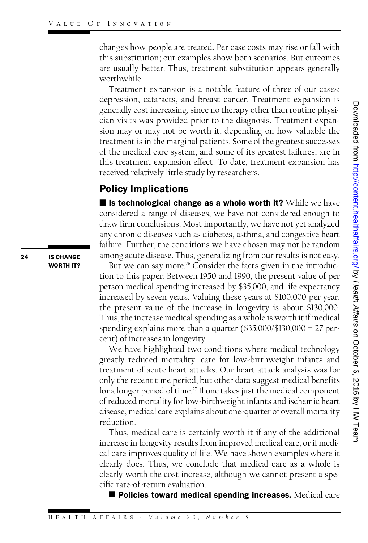changes how people are treated. Per case costs may rise or fall with changes how people are treated. Per case costs may rise or fall with<br>this substitution; our examples show both scenarios. But outcomes<br>are usually better. Thus, treatment substitution appears generally changes how people are treated. Per case costs may rise or fall with<br>this substitution; our examples show both scenarios. But outcomes<br>are usually better. Thus, treatment substitution appears generally<br>worthwhile worthwhile. are usually better. Thus, treatment substitution appears generally<br>worthwhile.<br>Treatment expansion is a notable feature of three of our cases:

depression, cataracts, and breast cancer. Treatment expansion is generally cost increasing, since no therapy other than routine physician visits was provided prior to the diagnosis. Treatment expangenerally cost increasing, since no therapy other than routine physician visits was provided prior to the diagnosis. Treatment expansion may or may not be worth it, depending on how valuable the treatment is in the margina cian visits was provided prior to the diagnosis. Treatment expansion may or may not be worth it, depending on how valuable the treatment is in the marginal patients. Some of the greatest successes of the medical care syste sion may or may not be worth it, depending on how valuable the<br>treatment is in the marginal patients. Some of the greatest successes<br>of the medical care system, and some of its greatest failures, are in<br>this treatment expa treatment is in the marginal patients. Some of the greatest successes<br>of the medical care system, and some of its greatest failures, are in<br>this treatment expansion effect. To date, treatment expansion has<br>received relativ of the medical care system, and some of its gr<br>this treatment expansion effect. To date, treat<br>received relatively little study by researchers. this treatment expansion effereceived relatively little study<br>**Policy Implications** 

considered a range of diseases, we have not considered enough to ■ Is technological change as a whole worth it? While we have<br>considered a range of diseases, we have not considered enough to<br>draw firm conclusions. Most importantly, we have not yet analyzed<br>any chronic diseases such as considered a range of diseases, we have not considered enough to<br>draw firm conclusions. Most importantly, we have not yet analyzed<br>any chronic diseases such as diabetes, asthma, and congestive heart<br>failure. Further, the c any chronic diseases such as diabetes, asthma, and congestive heart<br>failure. Further, the conditions we have chosen may not be random any chronic diseases such as diabetes, asthma, and congestive heart<br>failure. Further, the conditions we have chosen may not be random<br>among acute disease. Thus, generalizing from our results is not easy.<br>But we can say mor lure. Further, the conditions we have chosen may not be random<br>ong acute disease. Thus, generalizing from our results is not easy.<br>But we can say more.<sup>26</sup> Consider the facts given in the introduc-<br>n to this paper: Between

But we can say more.<sup>26</sup> Consider the facts given in the introduction to this paper: Between 1950 and 1990, the present value of per But we can say more.<sup>26</sup> Consider the facts given in the introduction to this paper: Between 1950 and 1990, the present value of per<br>person medical spending increased by \$35,000, and life expectancy<br>increased by seven year tion to this paper: Between 1950 and 1990, the present value of per<br>person medical spending increased by \$35,000, and life expectancy<br>increased by seven years. Valuing these years at \$100,000 per year,<br>the present value of increased by seven years. Valuing these years at \$100,000 per year,<br>the present value of the increase in longevity is about \$130,000.<br>Thus, the increase medical spending as a whole is worth it if medical the present value of the increase in longevity is about \$130,000. the present value of the increase in longevity is about \$130,000.<br>Thus, the increase medical spending as a whole is worth it if medical<br>spending explains more than a quarter (\$35,000/\$130,000 = 27 per-<br>cent) of increases i Thus, the increase medical spend<br>spending explains more than a<br>cent) of increases in longevity.<br>We have highlighted two co We have highlighted two conditions where medical technology

seperative consideration that the diagnosis. Treatment expansion is<br>signal cost increasing, since no therapy other than routine physi-<br>sion may or may not be worth it, depending on how valuable the<br>treatment is in the mar greatly reduced mortality: care for low-birthweight infants and We have highlighted two conditions where medical technology<br>greatly reduced mortality: care for low-birthweight infants and<br>treatment of acute heart attacks. Our heart attack analysis was for<br>only the recent time period bu greatly reduced mortality: care for low-birthweight infants and<br>treatment of acute heart attacks. Our heart attack analysis was for<br>only the recent time period, but other data suggest medical benefits<br>for a longer period o only the recent time period, but other data suggest medical benefits<br>for a longer period of time.<sup>27</sup> If one takes just the medical component only the recent time period, but other data suggest medical benefits<br>for a longer period of time.<sup>27</sup> If one takes just the medical component<br>of reduced mortality for low-birthweight infants and ischemic heart<br>disease\_medi for a longer period of time.<sup>27</sup> If one takes just the medical component<br>of reduced mortality for low-birthweight infants and ischemic heart<br>disease, medical care explains about one-quarter of overall mortality<br>reduction reduction. disease, medical care explains about one-quarter of overall mortality<br>reduction.<br>Thus, medical care is certainly worth it if any of the additional

increase in longevity results from improved medical care, or if medi-Thus, medical care is certainly worth it if any of the additional<br>increase in longevity results from improved medical care, or if medi-<br>cal care improves quality of life. We have shown examples where it<br>clearly does. Thus, increase in longevity results from improved medical care, or if medical care improves quality of life. We have shown examples where it<br>clearly does. Thus, we conclude that medical care as a whole is<br>clearly worth the cost cal care improves quality of life. We have shown examples where it<br>clearly does. Thus, we conclude that medical care as a whole is<br>clearly worth the cost increase, although we cannot present a spe-<br>cific rate-of-return eva clearly does. Thus, we concluc<br>clearly worth the cost increase,<br>cific rate-of-return evaluation.<br>**Policies toward medical** arly worth the cost increase, although we cannot present a spe∕<br>ic rate-of-return evaluation.<br>■ Policies toward medical spending increases. Medical care

ENDERENDERENDEL IS CHANGE

**IS CHANGE**<br>WORTH IT?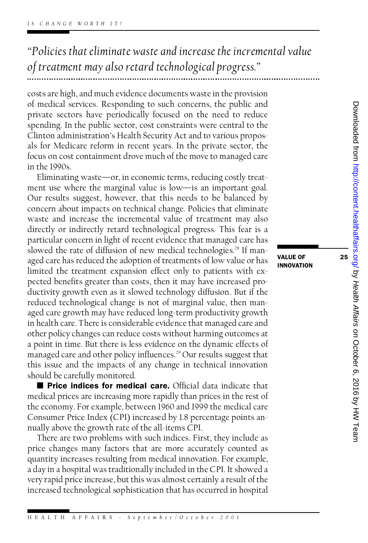*"Policies that eliminate waste and increase the incremental value of treatment may also retard technological progress."*

costs are high, and much evidence documents waste in the provision costs are high, and much evidence documents waste in the provision<br>of medical services. Responding to such concerns, the public and<br>private sectors have periodically focused on the need to reduce costs are high, and much evidence documents waste in the provision<br>of medical services. Responding to such concerns, the public and<br>private sectors have periodically focused on the need to reduce<br>spending. In the public se private sectors have periodically focused on the need to reduce spending. In the public sector, cost constraints were central to the private sectors have periodically focused on the need to reduce<br>spending. In the public sector, cost constraints were central to the<br>Clinton administration's Health Security Act and to various propos-<br>als for Medicare refo spending. In the public sector, cost constraints were central to the<br>Clinton administration's Health Security Act and to various propos-<br>als for Medicare reform in recent years. In the private sector, the<br>focus on cost con als for Medicare reform in recent years. In the private sector, the focus on cost containment drove much of the move to managed care in the 1990s. focus on cost containment drove much of the move to managed care

Eliminating waste—or, in economic terms, reducing costly treatment use where the marginal value is low—is an important goal. Eliminating waste—or, in economic terms, reducing costly treatment use where the marginal value is low—is an important goal.<br>Our results suggest, however, that this needs to be balanced by<br>concern about impacts on technica ment use where the marginal value is low—is an important goal.<br>Our results suggest, however, that this needs to be balanced by<br>concern about impacts on technical change. Policies that eliminate<br>waste and increase the incre Our results suggest, however, that this needs to be balanced by<br>concern about impacts on technical change. Policies that eliminate<br>waste and increase the incremental value of treatment may also<br>directly or indirectly retar concern about impacts on technical change. Policies that eliminate<br>waste and increase the incremental value of treatment may also<br>directly or indirectly retard technological progress. This fear is a<br>particular concern in l waste and increase the incremental value of treatment may also<br>directly or indirectly retard technological progress. This fear is a<br>particular concern in light of recent evidence that managed care has<br>slowed the rate of di directly or indirectly retard technological progress. This tear is a<br>particular concern in light of recent evidence that managed care has<br>slowed the rate of diffusion of new medical technologies.<sup>28</sup> If man-<br>aged care has particular concern in light of recent evidence that managed care has<br>slowed the rate of diffusion of new medical technologies.<sup>28</sup> If man-<br>aged care has reduced the adoption of treatments of low value or has<br>limited the tr slowed the rate of diffusion of new medical technologies.<sup>28</sup> If man-<br>aged care has reduced the adoption of treatments of low value or has<br>limited the treatment expansion effect only to patients with ex-<br>pected benefits gr aged care has reduced the adoption of treatments of low value or has<br>limited the treatment expansion effect only to patients with ex-<br>pected benefits greater than costs, then it may have increased pro-<br>ductivity growth eve limited the treatment expansion effect only to patients with expected benefits greater than costs, then it may have increased productivity growth even as it slowed technology diffusion. But if the reduced technological cha ductivity growth even as it slowed technology diffusion. But if the reduced technological change is not of marginal value, then manductivity growth even as it slowed technology diffusion. But if the<br>reduced technological change is not of marginal value, then man-<br>aged care growth may have reduced long-term productivity growth<br>in health care. There is reduced technological change is not of marginal value, then man-<br>aged care growth may have reduced long-term productivity growth<br>in health care. There is considerable evidence that managed care and<br>other policy changes can in health care. There is considerable evidence that managed care and<br>other policy changes can reduce costs without harming outcomes at<br>a point in time. But there is less evidence on the dynamic effects of other policy changes can reduce costs without harming outcomes at other policy changes can reduce costs without harming outcomes at<br>a point in time. But there is less evidence on the dynamic effects of<br>managed care and other policy influences.<sup>29</sup> Our results suggest that<br>this issue and a point in time. But there is less evidence on the dynamic effects of<br>managed care and other policy influences.<sup>29</sup> Our results suggest that<br>this issue and the impacts of any change in technical innovation<br>should be carefu managed care and other policy in<br>this issue and the impacts of a<br>should be carefully monitored.<br>**Price indices for medica** s issue and the impacts of any change in technical innovation<br>buld be carefully monitored.<br>■ Price indices for medical care. Official data indicate that<br>cdical prices are increasing more rapidly than prices in the rest of

should be carefully monitored.<br> **E** Price indices for medical care. Official data indicate that medical prices are increasing more rapidly than prices in the rest of ■ **Price indices for medical care.** Official data indicate that medical prices are increasing more rapidly than prices in the rest of the economy. For example, between 1960 and 1999 the medical care Consumer Price Index ( medical prices are increasing more rapidly than prices in the rest of<br>the economy. For example, between 1960 and 1999 the medical care<br>Consumer Price Index (CPI) increased by 1.8 percentage points an-<br>nually above the grow Consumer Price Index (CPI) increased by 1.8 percentage points annually above the growth rate of the all-items CPI.

There are two problems with such indices. First, they include as price changes many factors that are more accurately counted as quantity increases resulting from medical innovation. For example, price changes many factors that are more accurately counted as<br>quantity increases resulting from medical innovation. For example,<br>a day in a hospital was traditionally included in the CPI. It showed a<br>very rapid price incr quantity increases resulting from medical innovation. For example,<br>a day in a hospital was traditionally included in the CPI. It showed a<br>very rapid price increase, but this was almost certainly a result of the<br>increased t very rapid price increase, but this was almost certainly a result of the increased technological sophistication that has occurred in hospital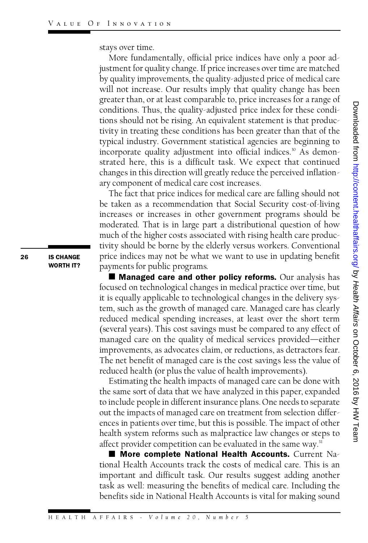stays over time.

More fundamentally, official price indices have only a poor adjustment for quality change. If price increases over time are matched More fundamentally, official price indices have only a poor adjustment for quality change. If price increases over time are matched<br>by quality improvements, the quality-adjusted price of medical care<br>will not increase. Our justment for quality change. If price increases over time are matched<br>by quality improvements, the quality-adjusted price of medical care<br>will not increase. Our results imply that quality change has been<br>greater than or at will not increase. Our results imply that quality change has been<br>greater than, or at least comparable to, price increases for a range of will not increase. Our results imply that quality change has been<br>greater than, or at least comparable to, price increases for a range of<br>conditions. Thus, the quality-adjusted price index for these condi-<br>tions should not greater than, or at least comparable to, price increases for a range of<br>conditions. Thus, the quality-adjusted price index for these condi-<br>tions should not be rising. An equivalent statement is that produc-<br>tivity in trea conditions. Thus, the quality-adjusted price index for these conditions should not be rising. An equivalent statement is that productivity in treating these conditions has been greater than that of the typical industry. Go tions should not be rising. An equivalent statement is that productivity in treating these conditions has been greater than that of the typical industry. Government statistical agencies are beginning to incorporate quality tivity in treating these conditions has been greater than that of the<br>typical industry. Government statistical agencies are beginning to<br>incorporate quality adjustment into official indices.<sup>30</sup> As demon-<br>strated here, thi typical industry. Government statistical agencies are beginning to<br>incorporate quality adjustment into official indices.<sup>30</sup> As demon-<br>strated here, this is a difficult task. We expect that continued<br>changes in this direct incorporate quality adjustment into official indices.<sup>30</sup> As demon-<br>strated here, this is a difficult task. We expect that continued<br>changes in this direction will greatly reduce the perceived inflation-<br>ary component of m strated here, this is a difficult task. We experience in this direction will greatly reduce the<br>ary component of medical care cost increases.<br>The fact that price indices for medical care a anges in this direction will greatly reduce the perceived inflation-<br>I component of medical care cost increases.<br>The fact that price indices for medical care are falling should not<br>taken as a recommendation that Social Sec

ary component of medical care cost increases.<br>The fact that price indices for medical care are falling should not<br>be taken as a recommendation that Social Security cost-of-living<br>increases or increases in other government The fact that price indices for medical care are falling should not<br>be taken as a recommendation that Social Security cost-of-living<br>increases or increases in other government programs should be<br>moderated. That is in large be taken as a recommendation that Social Security cost-of-living<br>increases or increases in other government programs should be<br>moderated. That is in large part a distributional question of how<br>much of the higher costs asso moderated. That is in large part a distributional question of how<br>much of the higher costs associated with rising health care productivity should be borne by the elderly versus workers. Conventional much of the higher costs associated with rising health care productivity should be borne by the elderly versus workers. Conventional price indices may not be what we want to use in updating benefit payments for public prog tivity should be borne by the eld<br>price indices may not be what y<br>payments for public programs.<br>■ Managed care and other ice indices may not be what we want to use in updating benefit<br>yments for public programs.<br>■ **Managed care and other policy reforms.** Our analysis has<br>used on technological changes in medical practice over time but

payments for public programs.<br> **E** Managed care and other policy reforms. Our analysis has focused on technological changes in medical practice over time, but **E Managed care and other policy reforms.** Our analysis has<br>focused on technological changes in medical practice over time, but<br>it is equally applicable to technological changes in the delivery sys-<br>tem such as the growth focused on technological changes in medical practice over time, but<br>it is equally applicable to technological changes in the delivery sys-<br>tem, such as the growth of managed care. Managed care has clearly<br>reduced medical s it is equally applicable to technological changes in the delivery sys-<br>tem, such as the growth of managed care. Managed care has clearly<br>reduced medical spending increases, at least over the short term<br>(several years) This tem, such as the growth of managed care. Managed care has clearly<br>reduced medical spending increases, at least over the short term<br>(several years). This cost savings must be compared to any effect of<br>managed care on the qu reduced medical spending increases, at least over the short term<br>(several years). This cost savings must be compared to any effect of<br>managed care on the quality of medical services provided—either<br>improvements as advocate (several years). This cost savings must be compared to any effect of<br>managed care on the quality of medical services provided—either<br>improvements, as advocates claim, or reductions, as detractors fear.<br>The net benefit of m improvements, as advocates claim, or reductions, as detractors fear.<br>The net benefit of managed care is the cost savings less the value of reduced health (or plus the value of health improvements). Estimation. Thus, the quality-adjusted price interaction a range of many only and those conditions. Thus, the quality-adjusted price index for these conditions has should not be rising. An equivalent statement is that pro

reduced health (or plus the value of health improvements).<br>Estimating the health impacts of managed care can be done with<br>the same sort of data that we have analyzed in this paper, expanded<br>to include people in different i Estimating the health impacts of managed care can be done with<br>the same sort of data that we have analyzed in this paper, expanded<br>to include people in different insurance plans. One needs to separate<br>out the impacts of ma to include people in different insurance plans. One needs to separate<br>out the impacts of managed care on treatment from selection differto include people in different insurance plans. One needs to separate<br>out the impacts of managed care on treatment from selection differ-<br>ences in patients over time, but this is possible. The impact of other<br>health system out the impacts of managed care on treatment from selection differences in patients over time, but this is possible. The impact of other health system reforms such as malpractice law changes or steps to affect provider com health system reforms such as malpractice law changes or steps to<br>affect provider competition can be evaluated in the same way.<sup>31</sup><br>More complete National Health Accounts. Current Na-

tional Health Accounts track the costs of medical care. This is an **E** More complete National Health Accounts. Current National Health Accounts track the costs of medical care. This is an important and difficult task. Our results suggest adding another task as well: measuring the benefits tional Health Accounts track the costs of medical care. This is an<br>important and difficult task. Our results suggest adding another<br>task as well: measuring the benefits of medical care. Including the<br>benefits side in Natio task as well: measuring the benefits of medical care. Including the<br>benefits side in National Health Accounts is vital for making sound

**IS CHANGE**<br>WORTH IT?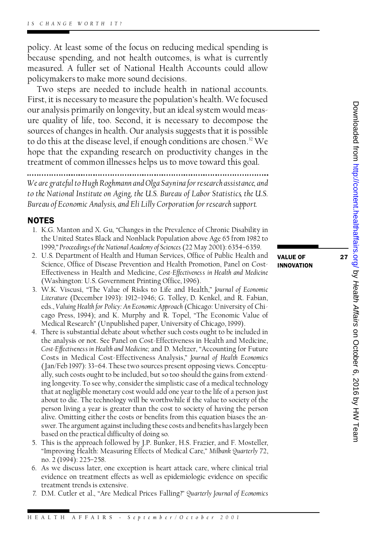policy. At least some of the focus on reducing medical spending is policy. At least some of the focus on reducing medical spending is<br>because spending, and not health outcomes, is what is currently<br>measured. A fuller set of National Health Accounts could allow policy. At least some of the focus on reducing medical spending is<br>because spending, and not health outcomes, is what is currently<br>measured. A fuller set of National Health Accounts could allow<br>policymakers to make more so measured. A fuller set of National Health Accounts could allow policymakers to make more sound decisions.

Two steps are needed to include health in national accounts. policymakers to make more sound decisions.<br>Two steps are needed to include health in national accounts.<br>First, it is necessary to measure the population's health. We focused<br>our analysis primarily on longevity but an ideal Two steps are needed to include health in national accounts.<br>First, it is necessary to measure the population's health. We focused<br>our analysis primarily on longevity, but an ideal system would meas-<br>ure quality of life to our analysis primarily on longevity, but an ideal system would measure quality of life, too. Second, it is necessary to decompose the our analysis primarily on longevity, but an ideal system would meas-<br>ure quality of life, too. Second, it is necessary to decompose the<br>sources of changes in health. Our analysis suggests that it is possible<br>to do this at ure quality of life, too. Second, it is necessary to decompose the<br>sources of changes in health. Our analysis suggests that it is possible<br>to do this at the disease level, if enough conditions are chosen.<sup>32</sup> We<br>hope that to do this at the disease level, if enough conditions are chosen.<sup>32</sup> We hope that the expanding research on productivity changes in the treatment of common illnesses helps us to move toward this goal.

*We are grateful to Hugh Roghmann and Olga Saynina for research assistance, and*<br>*We are grateful to Hugh Roghmann and Olga Saynina for research assistance, and*<br>to the National Institute on Aging, the H.S. Rureau of Labor *to the are grateful to Hugh Roghmann and Olga Saynina for research assistance, and*<br>*to the National Institute on Aging, the U.S. Bureau of Labor Statistics, the U.S.*<br>*Rureau of Economic Analysis, and E*li Lilly Corporat *Bureau of Economic Analysis, and Eli Lilly Corporation for research support.*

### **NOTES**

- **OTES**<br>1. K.G. Manton and X. Gu, "Changes in the Prevalence of Chronic Disability in<br>the United States Black and Nonblack Population above Age 65 from 1982 to **FES**<br>K.G. Manton and X. Gu, "Changes in the Prevalence of Chronic Disability in<br>the United States Black and Nonblack Population above Age 65 from 1982 to<br>1999 " Proceedings of the National Academy of Sciences (22 May 2001 the United States Black and Nonblack Population above Age 65 from 1982 to<br>1999," *Proceedings of the National Academy of Sciences* (22 May 2001): 6354–6359.<br>2. U.S. Department of Health and Human Services, Office of Public 2. U.S. Department of Health and Human Services, Office of Public Health and
- 1999," Proceedings of the National Academy of Sciences (22 May 2001): 6354–6359.<br>U.S. Department of Health and Human Services, Office of Public Health and<br>Science, Office of Disease Prevention and Health Promotion, Panel o U.S. Department of Health and Human Services, Office of Public Health and<br>Science, Office of Disease Prevention and Health Promotion, Panel on Cost-<br>Effectiveness in Health and Medicine, *Cost-Effectiveness in Health and M* Science, Office of Disease Prevention and Health Prome<br>Effectiveness in Health and Medicine, *Cost-Effectiveness*<br>(Washington: U.S. Government Printing Office, 1996).<br>W.K. Viscusi. "The Value of Risks to Life and Health 5. Effectiveness in Health and Medicine, *Cost-Effectiveness in Health and Medicine*<br>(Washington: U.S. Government Printing Office, 1996).<br>3. W.K. Viscusi, "The Value of Risks to Life and Health," *Journal of Economic*<br>*Lit*
- *Literature (Washington: U.S. Government Printing Office, 1996).*<br>*W.K. Viscusi, "The Value of Risks to Life and Health," Journal of Economic<br><i>Literature (December 1993): 1912–1946; G. Tolley, D. Kenkel, and R. Fabian,*<br>ed Literature (December 1993): 1912-1946; G. Tolley, D. Kenkel, and R. Fabian, eds., *Valuing Health for Policy: An Economic Approach* (Chicago: University of Chi-Literature (December 1993): 1912–1946; G. Tolley, D. Kenkel, and R. Fabian,<br>eds., Valuing Health for Policy: An Economic Approach (Chicago: University of Chi-<br>cago Press, 1994); and K. Murphy and R. Topel, "The Economic Va eds., Valuing Health for Policy: An Economic Approach (Chicago: University c<br>cago Press, 1994); and K. Murphy and R. Topel, "The Economic Va<br>Medical Research" (Unpublished paper, University of Chicago, 1999).<br>There is subs
- 4. There is substantial debate about whether such costs ought to be included in Medical Research" (Unpublished paper, University of Chicago, 1999).<br>There is substantial debate about whether such costs ought to be included in<br>the analysis or not. See Panel on Cost-Effectiveness in Health and Medicine,<br> There is substantial debate about whether such costs ought to be included in<br>the analysis or not. See Panel on Cost-Effectiveness in Health and Medicine,<br>*Cost-Effectiveness in Health and Medicine*; and D. Meltzer, "Accoun the analysis or not. See Panel on Cost-Effectiveness in Health and Medicine,<br>*Cost-Effectiveness in Health and Medicine*; and D. Meltzer, "Accounting for Future<br>Costs in Medical Cost-Effectiveness Analysis," *Journal of He* Cost-Effectiveness in Health and Medicine; and D. Meltzer, "Accounting for Future<br>Costs in Medical Cost-Effectiveness Analysis," *Journal of Health Economics*<br>(Jan/Feb 1997): 33–64. These two sources present opposin (Jan/Feb 1997): 33–64. These two sources present opposing views. Conceptu-<br>ally, such costs ought to be included, but so too should the gains from extend-(Jan/Feb 1997): 33–64. These two sources present opposing views. Conceptually, such costs ought to be included, but so too should the gains from extending longevity. To see why, consider the simplistic case of a medical te ally, such costs ought to be included, but so too should the gains from extend-<br>ing longevity. To see why, consider the simplistic case of a medical technology<br>that at negligible monetary cost would add one year to the lif that at negligible monetary cost would add one year to the life of a person just about to die. The technology will be worthwhile if the value to society of the<br>person living a year is greater than the cost to society of having the person<br>alive. Omitting either the costs or benefits from this equation b person living a year is greater than the cost to society of having the person person living a year is greater than the cost to society of having the person<br>alive. Omitting either the costs or benefits from this equation biases the an-<br>swer. The argument against including these costs and benefits has alive. Omitting either the costs or benefits fr<br>swer. The argument against including these cc<br>based on the practical difficulty of doing so.<br>This is the approach followed by LP-Bunker 5. Swer. The argument against including these costs and benefits has largely been<br>5. This is the approach followed by J.P. Bunker, H.S. Frazier, and F. Mosteller,<br>"Improving Health: Measuring Effects of Medical Care" Milba
- based on the practical difficulty of doing so.<br>This is the approach followed by J.P. Bunker, H.S. Frazier, and F. Mosteller,<br>"Improving Health: Measuring Effects of Medical Care," *Milbank Quarterly 72*,<br>no. 2 (1994): 225– "Improving Health: Measuring Effects of Medical Care," Milbank Quarterly 72, no. 2 (1994): 225-258. 6. "Improving Health: Measuring Effects of Medical Care," Milbank Quarterly 72,<br>1994): 225-258.<br>6. As we discuss later, one exception is heart attack care, where clinical trial<br>evidence on treatment effects as well as enid
- no. 2 (1994): 225–258.<br>As we discuss later, one exception is heart attack care, where clinical trial<br>evidence on treatment effects as well as epidemiologic evidence on specific<br>treatment trends is extensive evidence on treatment effects as well as epidemiologic evidence on specific treatment trends is extensive.
- 7. D.M. Cutler et al., "Are Medical Prices Falling?" *Quarterly Journal of Economics*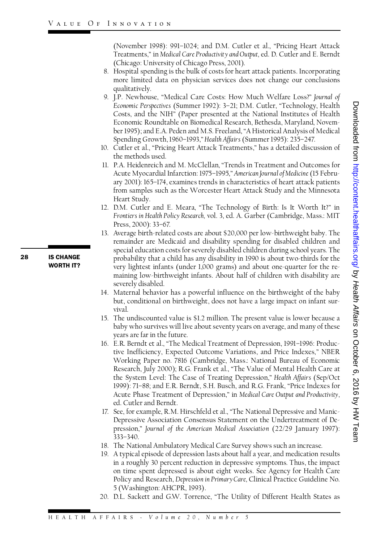(November 1998): 991–1024; and D.M. Cutler et al., "Pricing Heart Attack<br>Treatments " in Medical Care Productivity and Outhut ed. D. Cutler and F. Berndt (November 1998): 991–1024; and D.M. Cutler et al., "Pricing Heart Attack<br>Treatments," in *Medical Care Productivity and Output*, ed. D. Cutler and E. Berndt<br>(Chicago: University of Chicago Press 2001) Treatments," in Medical Care Productivity and Output, ed. D. Cutler and E. Berndt (Chicago: University of Chicago Press, 2001).

- Treatments," in Medical Care Productivity and Output, ed. D. Cutler and E. Berndt<br>(Chicago: University of Chicago Press, 2001).<br>8. Hospital spending is the bulk of costs for heart attack patients. Incorporating<br>more limite (Chicago: University of Chicago Press, 2001).<br>Hospital spending is the bulk of costs for heart attack patients. Incorporating<br>more limited data on physician services does not change our conclusions<br>qualitatively qualitatively. more limited data on physician services does not change our conclusions<br>qualitatively.<br>9. J.P. Newhouse, "Medical Care Costs: How Much Welfare Loss?" *Journal of*<br>*Fremomic Perspectives* (Summer 1992): 3-21: DM Cutler "Tec
- qualitatively.<br>J.P. Newhouse, "Medical Care Costs: How Much Welfare Loss?" *Journal of<br>Economic Perspectives* (Summer 1992): 3–21; D.M. Cutler, "Technology, Health<br>Costs. and the NIH" (Paper presented at the National Insti Costs, and the NIH" (Paper presented at the National Institutes of Health ber 1995); and E.A. Peden and M.S. Freeland, "A Historical Analysis of Medical Spending Growth, 1960–1993,"*Health Affairs* (Summer 1995): 235–247. ber 1995); and E.A. Peden and M.S. Freeland, "A Historical Analysis of Medical<br>Spending Growth, 1960–1993," Health Affairs (Summer 1995): 235–247.<br>10. Cutler et al., "Pricing Heart Attack Treatments," has a detailed discus
- Spending Growth, l<br>Cutler et al., "Pricin<br>the methods used.<br>P A Heidenreich an 10. Cutler et al., "Pricing Heart Attack Treatments," has a detailed discussion of<br>the methods used.<br>11. P.A. Heidenreich and M. McClellan, "Trends in Treatment and Outcomes for<br>Acute Myocardial Infarction: 1975–1995 " Ame
- the methods used.<br>P.A. Heidenreich and M. McClellan, "Trends in Treatment and Outcomes for<br>Acute Myocardial Infarction: 1975–1995," *American Journal of Medicine* (15 Febru-<br>ary 2001): 165–174 examines trends in character P.A. Heidenreich and M. McClellan, "Trends in Treatment and Outcomes for<br>Acute Myocardial Infarction: 1975–1995," *American Journal of Medicine* (15 Febru-<br>ary 2001): 165–174, examines trends in characteristics of heart at Acute Myocardial Infarction: 1975–1995," *American Journal of Medicine* (15 February 2001): 165–174, examines trends in characteristics of heart attack patients<br>from samples such as the Worcester Heart Attack Study and the from samples such as the Worcester Heart Attack Study and the Minnesota Heart Study.
- 12. D.M. Cutler and E. Meara, "The Technology of Birth: Is It Worth It?" in Heart Study.<br>D.M. Cutler and E. Meara, "The Technology of Birth: Is It Worth It?" in<br>*Frontiers in Health* Policy Research, vol. 3, ed. A. Garber (Cambridge, Mass.: MIT<br>Press 2000)<sup>.</sup> 33–67 D.M. Cutler and E.<br>*Frontiers in Health Polic*<br>Press, 2000): 33–67.<br>Average birth-related 13. Frontiers in Health Policy Research, vol. 3, ed. A. Garber (Cambridge, Mass.: MIT<br>13. Average birth-related costs are about \$20,000 per low-birthweight baby. The<br>13. Average birth-related costs are about \$20,000 per lo
- Press, 2000): 33–67.<br>Average birth-related costs are about \$20,000 per low-birthweight baby. The<br>remainder are Medicaid and disability spending for disabled children and<br>special education costs for severely disabled childr remainder are Medicaid and disability spending for disabled children and special education costs for severely disabled children during school years. The remainder are Medicaid and disability spending for disabled children and<br>special education costs for severely disabled children during school years. The<br>probability that a child has any disability in 1990 is about two-thir special education costs for severely disabled children during school years. The<br>probability that a child has any disability in 1990 is about two-thirds for the<br>very lightest infants (under 1,000 grams) and about one-quarte probability that a child has any disability in 1990 is about two-thirds for the<br>very lightest infants (under 1,000 grams) and about one-quarter for the re-<br>maining low-birthweight infants. About half of children with disab very lightest infant<br>maining low-birth<br>severely disabled.<br>Maternal behavior maining low-birthweight infants. About half of children with disability are<br>severely disabled.<br>14. Maternal behavior has a powerful influence on the birthweight of the baby<br>but conditional on birthweight does not have a la
- severely disabled.<br>Maternal behavior has a powerful influence on the birthweight of the baby<br>but, conditional on birthweight, does not have a large impact on infant sur-<br>vival vival. but, conditional on birthweight, does not have a large impact on infant survival.<br>15. The undiscounted value is \$1.2 million. The present value is lower because a
- vival.<br>The undiscounted value is \$1.2 million. The present value is lower because a<br>baby who survives will live about seventy years on average, and many of these<br>vears are far in the future The undiscounted value is<br>baby who survives will live<br>years are far in the future.<br>E R Berndt et al "The Me 16. E.R. Berndt et al., "The Medical Treatment of Depression, 1991–1996: Produc-
- Fromenic Properatives (Summer 1992). 5-21; DM. Cutler, "Technology, Health Economic Roundable on Biomelical Research, Bethesda, Maryland, Novem-<br>
For SOSts, and the NIH" (Paper presented at the National Institutes of Heal tive Inefficiency, Expected Outcome Variations, and Price Indexes," NBER Working Paper no. 7816 (Cambridge, Mass.: National Bureau of Economic tive Inefficiency, Expected Outcome Variations, and Price Indexes," NBER<br>Working Paper no. 7816 (Cambridge, Mass.: National Bureau of Economic<br>Research, July 2000); R.G. Frank et al., "The Value of Mental Health Care at<br>th Working Paper no. 7816 (Cambridge, Mass.: National Bureau of Economic<br>Research, July 2000); R.G. Frank et al., "The Value of Mental Health Care at<br>the System Level: The Case of Treating Depression," *Health Affairs* (Sep/O Research, July 2000); R.G. Frank et al., "The Value of Mental Health Care at<br>the System Level: The Case of Treating Depression," *Health Affairs (S*ep/Oct<br>1999): 71–88; and E.R. Berndt, S.H. Busch, and R.G. Frank, "Price I the System Level: The Case of Treating Depression," *Health Affairs* (Sep/Oct<br>1999): 71–88; and E.R. Berndt, S.H. Busch, and R.G. Frank, "Price Indexes for<br>Acute Phase Treatment of Depression," in *Medical Care Output and* 1999): 71–88; and E.R. B<br>Acute Phase Treatment<br>ed. Cutler and Berndt.<br>See for example R M I Acute Phase Treatment of Depression," in Medical Care Output and Productivity,<br>17. See, for example, R.M. Hirschfeld et al., "The National Depressive and Manic-<br>17. See, for example, R.M. Hirschfeld et al., "The National D
- ed. Cutler and Berndt.<br>See, for example, R.M. Hirschfeld et al., "The National Depressive and Manic-<br>Depressive Association Consensus Statement on the Undertreatment of De-<br>pression " Journal of the American Medical Associ pression," *Journal of the American Medical Associatio n* (22/29 January 1997): 333–340.
- 18. The National Ambulatory Medical Care Survey shows such an increase.
- 19. A typical episode of depression lasts about half a year, and medication results in a roughly 30 percent reduction in depressive symptoms. Thus, the impact A typical episode of depression lasts about half a year, and medication results<br>in a roughly 30 percent reduction in depressive symptoms. Thus, the impact<br>on time spent depressed is about eight weeks. See Agency for Health in a roughly 30 percent reduction in depressive symptoms. Thus, the impact<br>on time spent depressed is about eight weeks. See Agency for Health Care<br>Policy and Research, *Depression in Primary Care*, Clinical Practice Guide Policy and Research, Depression in Primary Care, Clinical Practice Guideline No.<br>5 (Washington: AHCPR, 1993).
- 20. D.L. Sackett and G.W. Torrence, "The Utility of Different Health States as

**28** IS CHANGE **IS CHANGE**<br>WORTH IT?